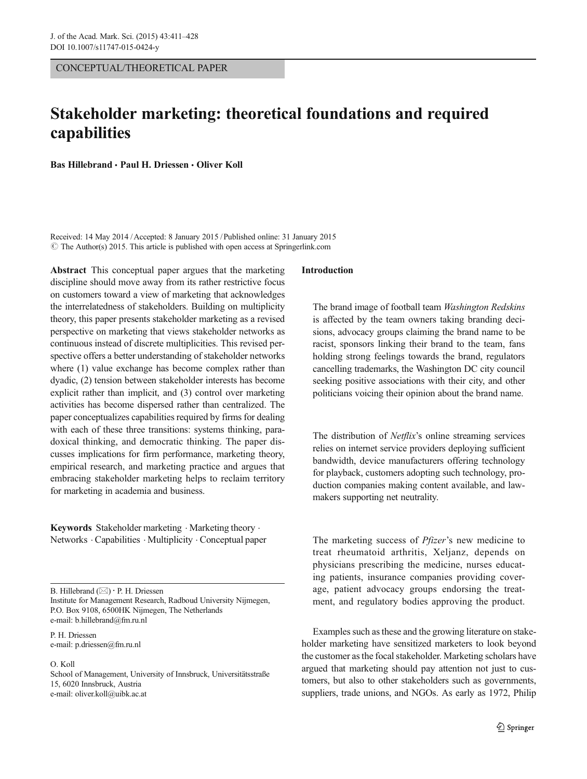CONCEPTUAL/THEORETICAL PAPER

# Stakeholder marketing: theoretical foundations and required capabilities

Bas Hillebrand & Paul H. Driessen & Oliver Koll

Received: 14 May 2014 /Accepted: 8 January 2015 / Published online: 31 January 2015  $\odot$  The Author(s) 2015. This article is published with open access at Springerlink.com

Abstract This conceptual paper argues that the marketing discipline should move away from its rather restrictive focus on customers toward a view of marketing that acknowledges the interrelatedness of stakeholders. Building on multiplicity theory, this paper presents stakeholder marketing as a revised perspective on marketing that views stakeholder networks as continuous instead of discrete multiplicities. This revised perspective offers a better understanding of stakeholder networks where (1) value exchange has become complex rather than dyadic, (2) tension between stakeholder interests has become explicit rather than implicit, and (3) control over marketing activities has become dispersed rather than centralized. The paper conceptualizes capabilities required by firms for dealing with each of these three transitions: systems thinking, paradoxical thinking, and democratic thinking. The paper discusses implications for firm performance, marketing theory, empirical research, and marketing practice and argues that embracing stakeholder marketing helps to reclaim territory for marketing in academia and business.

Keywords Stakeholder marketing . Marketing theory . Networks . Capabilities . Multiplicity . Conceptual paper

B. Hillebrand (⊠) · P. H. Driessen

Institute for Management Research, Radboud University Nijmegen, P.O. Box 9108, 6500HK Nijmegen, The Netherlands e-mail: b.hillebrand@fm.ru.nl

P. H. Driessen e-mail: p.driessen@fm.ru.nl

#### O. Koll

School of Management, University of Innsbruck, Universitätsstraße 15, 6020 Innsbruck, Austria e-mail: oliver.koll@uibk.ac.at

# Introduction

The brand image of football team Washington Redskins is affected by the team owners taking branding decisions, advocacy groups claiming the brand name to be racist, sponsors linking their brand to the team, fans holding strong feelings towards the brand, regulators cancelling trademarks, the Washington DC city council seeking positive associations with their city, and other politicians voicing their opinion about the brand name.

The distribution of Netflix's online streaming services relies on internet service providers deploying sufficient bandwidth, device manufacturers offering technology for playback, customers adopting such technology, production companies making content available, and lawmakers supporting net neutrality.

The marketing success of *Pfizer's* new medicine to treat rheumatoid arthritis, Xeljanz, depends on physicians prescribing the medicine, nurses educating patients, insurance companies providing coverage, patient advocacy groups endorsing the treatment, and regulatory bodies approving the product.

Examples such as these and the growing literature on stakeholder marketing have sensitized marketers to look beyond the customer as the focal stakeholder. Marketing scholars have argued that marketing should pay attention not just to customers, but also to other stakeholders such as governments, suppliers, trade unions, and NGOs. As early as 1972, Philip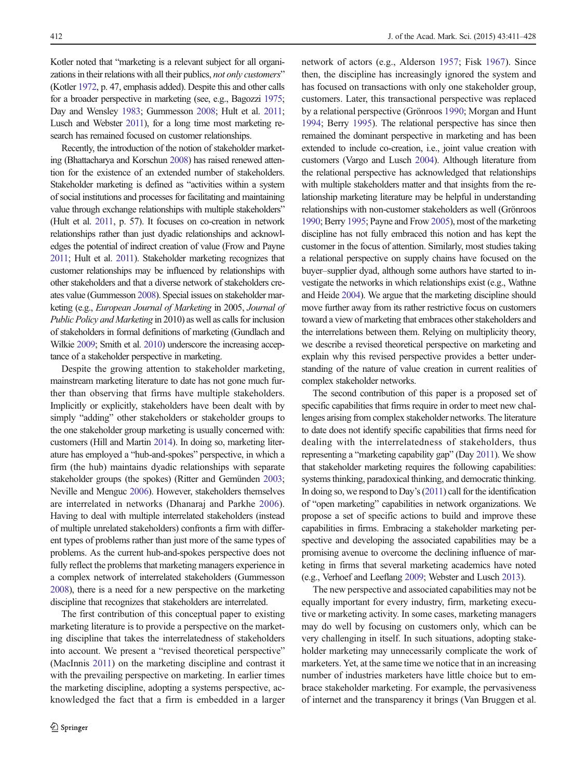Kotler noted that "marketing is a relevant subject for all organizations in their relations with all their publics, not only customers" (Kotler [1972,](#page-16-0) p. 47, emphasis added). Despite this and other calls for a broader perspective in marketing (see, e.g., Bagozzi [1975](#page-15-0); Day and Wensley [1983;](#page-15-0) Gummesson [2008;](#page-15-0) Hult et al. [2011](#page-15-0); Lusch and Webster [2011](#page-16-0)), for a long time most marketing research has remained focused on customer relationships.

Recently, the introduction of the notion of stakeholder marketing (Bhattacharya and Korschun [2008\)](#page-15-0) has raised renewed attention for the existence of an extended number of stakeholders. Stakeholder marketing is defined as "activities within a system of social institutions and processes for facilitating and maintaining value through exchange relationships with multiple stakeholders" (Hult et al. [2011,](#page-15-0) p. 57). It focuses on co-creation in network relationships rather than just dyadic relationships and acknowledges the potential of indirect creation of value (Frow and Payne [2011](#page-15-0); Hult et al. [2011](#page-15-0)). Stakeholder marketing recognizes that customer relationships may be influenced by relationships with other stakeholders and that a diverse network of stakeholders creates value (Gummesson [2008](#page-15-0)). Special issues on stakeholder marketing (e.g., European Journal of Marketing in 2005, Journal of Public Policy and Marketing in 2010) as well as calls for inclusion of stakeholders in formal definitions of marketing (Gundlach and Wilkie [2009](#page-15-0); Smith et al. [2010](#page-16-0)) underscore the increasing acceptance of a stakeholder perspective in marketing.

Despite the growing attention to stakeholder marketing, mainstream marketing literature to date has not gone much further than observing that firms have multiple stakeholders. Implicitly or explicitly, stakeholders have been dealt with by simply "adding" other stakeholders or stakeholder groups to the one stakeholder group marketing is usually concerned with: customers (Hill and Martin [2014](#page-15-0)). In doing so, marketing literature has employed a "hub-and-spokes" perspective, in which a firm (the hub) maintains dyadic relationships with separate stakeholder groups (the spokes) (Ritter and Gemünden [2003](#page-16-0); Neville and Menguc [2006\)](#page-16-0). However, stakeholders themselves are interrelated in networks (Dhanaraj and Parkhe [2006](#page-15-0)). Having to deal with multiple interrelated stakeholders (instead of multiple unrelated stakeholders) confronts a firm with different types of problems rather than just more of the same types of problems. As the current hub-and-spokes perspective does not fully reflect the problems that marketing managers experience in a complex network of interrelated stakeholders (Gummesson [2008](#page-15-0)), there is a need for a new perspective on the marketing discipline that recognizes that stakeholders are interrelated.

The first contribution of this conceptual paper to existing marketing literature is to provide a perspective on the marketing discipline that takes the interrelatedness of stakeholders into account. We present a "revised theoretical perspective" (MacInnis [2011](#page-16-0)) on the marketing discipline and contrast it with the prevailing perspective on marketing. In earlier times the marketing discipline, adopting a systems perspective, acknowledged the fact that a firm is embedded in a larger

network of actors (e.g., Alderson [1957;](#page-14-0) Fisk [1967\)](#page-15-0). Since then, the discipline has increasingly ignored the system and has focused on transactions with only one stakeholder group, customers. Later, this transactional perspective was replaced by a relational perspective (Grönroos [1990;](#page-15-0) Morgan and Hunt [1994;](#page-16-0) Berry [1995\)](#page-15-0). The relational perspective has since then remained the dominant perspective in marketing and has been extended to include co-creation, i.e., joint value creation with customers (Vargo and Lusch [2004](#page-17-0)). Although literature from the relational perspective has acknowledged that relationships with multiple stakeholders matter and that insights from the relationship marketing literature may be helpful in understanding relationships with non-customer stakeholders as well (Grönroos [1990;](#page-15-0) Berry [1995](#page-15-0); Payne and Frow [2005](#page-16-0)), most of the marketing discipline has not fully embraced this notion and has kept the customer in the focus of attention. Similarly, most studies taking a relational perspective on supply chains have focused on the buyer–supplier dyad, although some authors have started to investigate the networks in which relationships exist (e.g., Wathne and Heide [2004\)](#page-17-0). We argue that the marketing discipline should move further away from its rather restrictive focus on customers toward a view of marketing that embraces other stakeholders and the interrelations between them. Relying on multiplicity theory, we describe a revised theoretical perspective on marketing and explain why this revised perspective provides a better understanding of the nature of value creation in current realities of complex stakeholder networks.

The second contribution of this paper is a proposed set of specific capabilities that firms require in order to meet new challenges arising from complex stakeholder networks. The literature to date does not identify specific capabilities that firms need for dealing with the interrelatedness of stakeholders, thus representing a "marketing capability gap" (Day [2011\)](#page-15-0). We show that stakeholder marketing requires the following capabilities: systems thinking, paradoxical thinking, and democratic thinking. In doing so, we respond to Day's [\(2011\)](#page-15-0) call for the identification of "open marketing" capabilities in network organizations. We propose a set of specific actions to build and improve these capabilities in firms. Embracing a stakeholder marketing perspective and developing the associated capabilities may be a promising avenue to overcome the declining influence of marketing in firms that several marketing academics have noted (e.g., Verhoef and Leeflang [2009;](#page-17-0) Webster and Lusch [2013](#page-17-0)).

The new perspective and associated capabilities may not be equally important for every industry, firm, marketing executive or marketing activity. In some cases, marketing managers may do well by focusing on customers only, which can be very challenging in itself. In such situations, adopting stakeholder marketing may unnecessarily complicate the work of marketers. Yet, at the same time we notice that in an increasing number of industries marketers have little choice but to embrace stakeholder marketing. For example, the pervasiveness of internet and the transparency it brings (Van Bruggen et al.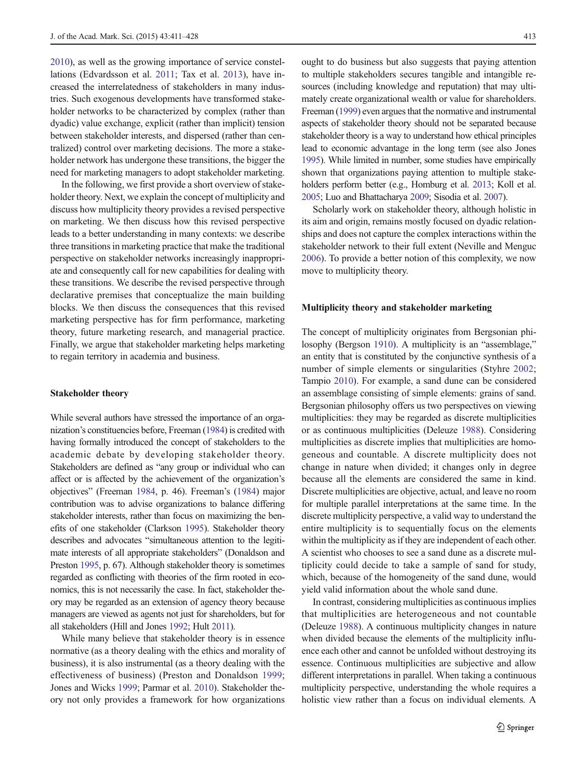[2010\)](#page-17-0), as well as the growing importance of service constellations (Edvardsson et al. [2011;](#page-15-0) Tax et al. [2013](#page-17-0)), have increased the interrelatedness of stakeholders in many industries. Such exogenous developments have transformed stakeholder networks to be characterized by complex (rather than dyadic) value exchange, explicit (rather than implicit) tension between stakeholder interests, and dispersed (rather than centralized) control over marketing decisions. The more a stakeholder network has undergone these transitions, the bigger the need for marketing managers to adopt stakeholder marketing.

In the following, we first provide a short overview of stakeholder theory. Next, we explain the concept of multiplicity and discuss how multiplicity theory provides a revised perspective on marketing. We then discuss how this revised perspective leads to a better understanding in many contexts: we describe three transitions in marketing practice that make the traditional perspective on stakeholder networks increasingly inappropriate and consequently call for new capabilities for dealing with these transitions. We describe the revised perspective through declarative premises that conceptualize the main building blocks. We then discuss the consequences that this revised marketing perspective has for firm performance, marketing theory, future marketing research, and managerial practice. Finally, we argue that stakeholder marketing helps marketing to regain territory in academia and business.

#### Stakeholder theory

While several authors have stressed the importance of an organization's constituencies before, Freeman [\(1984\)](#page-15-0) is credited with having formally introduced the concept of stakeholders to the academic debate by developing stakeholder theory. Stakeholders are defined as "any group or individual who can affect or is affected by the achievement of the organization's objectives" (Freeman [1984,](#page-15-0) p. 46). Freeman's [\(1984\)](#page-15-0) major contribution was to advise organizations to balance differing stakeholder interests, rather than focus on maximizing the benefits of one stakeholder (Clarkson [1995\)](#page-15-0). Stakeholder theory describes and advocates "simultaneous attention to the legitimate interests of all appropriate stakeholders" (Donaldson and Preston [1995](#page-15-0), p. 67). Although stakeholder theory is sometimes regarded as conflicting with theories of the firm rooted in economics, this is not necessarily the case. In fact, stakeholder theory may be regarded as an extension of agency theory because managers are viewed as agents not just for shareholders, but for all stakeholders (Hill and Jones [1992;](#page-15-0) Hult [2011\)](#page-15-0).

While many believe that stakeholder theory is in essence normative (as a theory dealing with the ethics and morality of business), it is also instrumental (as a theory dealing with the effectiveness of business) (Preston and Donaldson [1999](#page-16-0); Jones and Wicks [1999](#page-16-0); Parmar et al. [2010\)](#page-16-0). Stakeholder theory not only provides a framework for how organizations ought to do business but also suggests that paying attention to multiple stakeholders secures tangible and intangible resources (including knowledge and reputation) that may ultimately create organizational wealth or value for shareholders. Freeman [\(1999\)](#page-15-0) even argues that the normative and instrumental aspects of stakeholder theory should not be separated because stakeholder theory is a way to understand how ethical principles lead to economic advantage in the long term (see also Jones [1995](#page-16-0)). While limited in number, some studies have empirically shown that organizations paying attention to multiple stakeholders perform better (e.g., Homburg et al. [2013;](#page-15-0) Koll et al. [2005](#page-16-0); Luo and Bhattacharya [2009](#page-16-0); Sisodia et al. [2007](#page-16-0)).

Scholarly work on stakeholder theory, although holistic in its aim and origin, remains mostly focused on dyadic relationships and does not capture the complex interactions within the stakeholder network to their full extent (Neville and Menguc [2006\)](#page-16-0). To provide a better notion of this complexity, we now move to multiplicity theory.

#### Multiplicity theory and stakeholder marketing

The concept of multiplicity originates from Bergsonian philosophy (Bergson [1910\)](#page-15-0). A multiplicity is an "assemblage," an entity that is constituted by the conjunctive synthesis of a number of simple elements or singularities (Styhre [2002;](#page-16-0) Tampio [2010\)](#page-17-0). For example, a sand dune can be considered an assemblage consisting of simple elements: grains of sand. Bergsonian philosophy offers us two perspectives on viewing multiplicities: they may be regarded as discrete multiplicities or as continuous multiplicities (Deleuze [1988\)](#page-15-0). Considering multiplicities as discrete implies that multiplicities are homogeneous and countable. A discrete multiplicity does not change in nature when divided; it changes only in degree because all the elements are considered the same in kind. Discrete multiplicities are objective, actual, and leave no room for multiple parallel interpretations at the same time. In the discrete multiplicity perspective, a valid way to understand the entire multiplicity is to sequentially focus on the elements within the multiplicity as if they are independent of each other. A scientist who chooses to see a sand dune as a discrete multiplicity could decide to take a sample of sand for study, which, because of the homogeneity of the sand dune, would yield valid information about the whole sand dune.

In contrast, considering multiplicities as continuous implies that multiplicities are heterogeneous and not countable (Deleuze [1988](#page-15-0)). A continuous multiplicity changes in nature when divided because the elements of the multiplicity influence each other and cannot be unfolded without destroying its essence. Continuous multiplicities are subjective and allow different interpretations in parallel. When taking a continuous multiplicity perspective, understanding the whole requires a holistic view rather than a focus on individual elements. A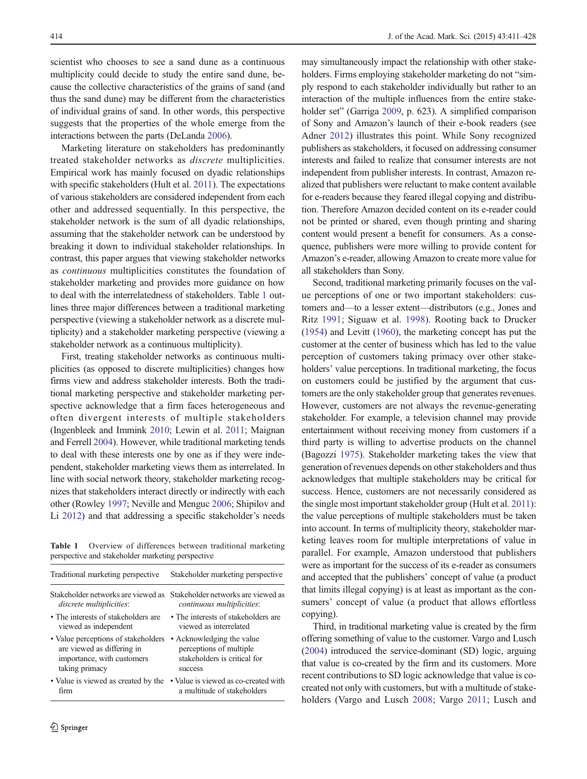scientist who chooses to see a sand dune as a continuous multiplicity could decide to study the entire sand dune, because the collective characteristics of the grains of sand (and thus the sand dune) may be different from the characteristics of individual grains of sand. In other words, this perspective suggests that the properties of the whole emerge from the interactions between the parts (DeLanda [2006](#page-15-0)).

Marketing literature on stakeholders has predominantly treated stakeholder networks as discrete multiplicities. Empirical work has mainly focused on dyadic relationships with specific stakeholders (Hult et al. [2011\)](#page-15-0). The expectations of various stakeholders are considered independent from each other and addressed sequentially. In this perspective, the stakeholder network is the sum of all dyadic relationships, assuming that the stakeholder network can be understood by breaking it down to individual stakeholder relationships. In contrast, this paper argues that viewing stakeholder networks as continuous multiplicities constitutes the foundation of stakeholder marketing and provides more guidance on how to deal with the interrelatedness of stakeholders. Table 1 outlines three major differences between a traditional marketing perspective (viewing a stakeholder network as a discrete multiplicity) and a stakeholder marketing perspective (viewing a stakeholder network as a continuous multiplicity).

First, treating stakeholder networks as continuous multiplicities (as opposed to discrete multiplicities) changes how firms view and address stakeholder interests. Both the traditional marketing perspective and stakeholder marketing perspective acknowledge that a firm faces heterogeneous and often divergent interests of multiple stakeholders (Ingenbleek and Immink [2010;](#page-16-0) Lewin et al. [2011](#page-16-0); Maignan and Ferrell [2004](#page-16-0)). However, while traditional marketing tends to deal with these interests one by one as if they were independent, stakeholder marketing views them as interrelated. In line with social network theory, stakeholder marketing recognizes that stakeholders interact directly or indirectly with each other (Rowley [1997;](#page-16-0) Neville and Menguc [2006;](#page-16-0) Shipilov and Li [2012\)](#page-16-0) and that addressing a specific stakeholder's needs

Table 1 Overview of differences between traditional marketing perspective and stakeholder marketing perspective

| Traditional marketing perspective   | Stakeholder marketing perspective    |
|-------------------------------------|--------------------------------------|
| Stakeholder networks are viewed as  | Stakeholder networks are viewed as   |
| <i>discrete multiplicities:</i>     | continuous multiplicities:           |
| • The interests of stakeholders are | • The interests of stakeholders are  |
| viewed as independent               | viewed as interrelated               |
| • Value perceptions of stakeholders | • Acknowledging the value            |
| are viewed as differing in          | perceptions of multiple              |
| importance, with customers          | stakeholders is critical for         |
| taking primacy                      | <b>SUCCESS</b>                       |
| • Value is viewed as created by the | • Value is viewed as co-created with |
| firm                                | a multitude of stakeholders          |

may simultaneously impact the relationship with other stakeholders. Firms employing stakeholder marketing do not "simply respond to each stakeholder individually but rather to an interaction of the multiple influences from the entire stakeholder set" (Garriga [2009](#page-15-0), p. 623). A simplified comparison of Sony and Amazon's launch of their e-book readers (see Adner [2012\)](#page-14-0) illustrates this point. While Sony recognized publishers as stakeholders, it focused on addressing consumer interests and failed to realize that consumer interests are not independent from publisher interests. In contrast, Amazon realized that publishers were reluctant to make content available for e-readers because they feared illegal copying and distribution. Therefore Amazon decided content on its e-reader could not be printed or shared, even though printing and sharing content would present a benefit for consumers. As a consequence, publishers were more willing to provide content for Amazon's e-reader, allowing Amazon to create more value for all stakeholders than Sony.

Second, traditional marketing primarily focuses on the value perceptions of one or two important stakeholders: customers and—to a lesser extent—distributors (e.g., Jones and Ritz [1991;](#page-16-0) Siguaw et al. [1998\)](#page-16-0). Rooting back to Drucker [\(1954\)](#page-15-0) and Levitt ([1960](#page-16-0)), the marketing concept has put the customer at the center of business which has led to the value perception of customers taking primacy over other stakeholders' value perceptions. In traditional marketing, the focus on customers could be justified by the argument that customers are the only stakeholder group that generates revenues. However, customers are not always the revenue-generating stakeholder. For example, a television channel may provide entertainment without receiving money from customers if a third party is willing to advertise products on the channel (Bagozzi [1975\)](#page-15-0). Stakeholder marketing takes the view that generation of revenues depends on other stakeholders and thus acknowledges that multiple stakeholders may be critical for success. Hence, customers are not necessarily considered as the single most important stakeholder group (Hult et al. [2011](#page-15-0)): the value perceptions of multiple stakeholders must be taken into account. In terms of multiplicity theory, stakeholder marketing leaves room for multiple interpretations of value in parallel. For example, Amazon understood that publishers were as important for the success of its e-reader as consumers and accepted that the publishers' concept of value (a product that limits illegal copying) is at least as important as the consumers' concept of value (a product that allows effortless copying).

Third, in traditional marketing value is created by the firm offering something of value to the customer. Vargo and Lusch [\(2004\)](#page-17-0) introduced the service-dominant (SD) logic, arguing that value is co-created by the firm and its customers. More recent contributions to SD logic acknowledge that value is cocreated not only with customers, but with a multitude of stakeholders (Vargo and Lusch [2008](#page-17-0); Vargo [2011](#page-17-0); Lusch and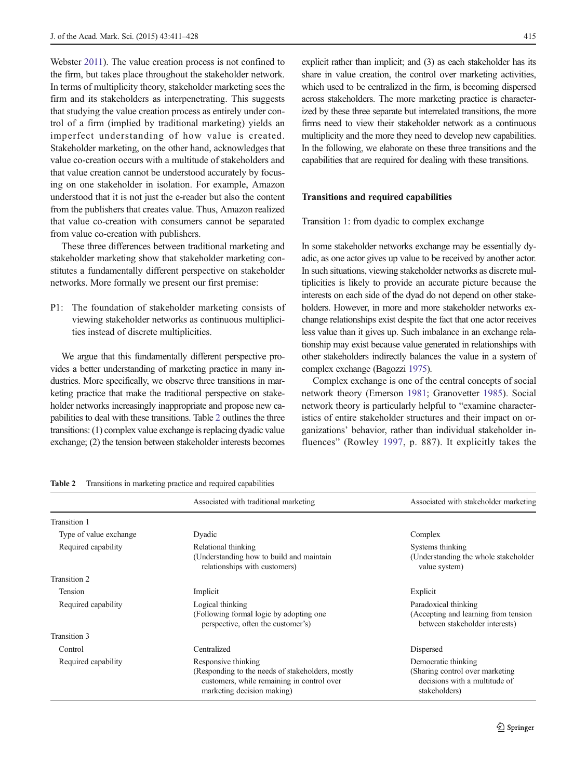Webster [2011\)](#page-16-0). The value creation process is not confined to the firm, but takes place throughout the stakeholder network. In terms of multiplicity theory, stakeholder marketing sees the firm and its stakeholders as interpenetrating. This suggests that studying the value creation process as entirely under control of a firm (implied by traditional marketing) yields an imperfect understanding of how value is created. Stakeholder marketing, on the other hand, acknowledges that value co-creation occurs with a multitude of stakeholders and that value creation cannot be understood accurately by focusing on one stakeholder in isolation. For example, Amazon understood that it is not just the e-reader but also the content from the publishers that creates value. Thus, Amazon realized that value co-creation with consumers cannot be separated from value co-creation with publishers.

These three differences between traditional marketing and stakeholder marketing show that stakeholder marketing constitutes a fundamentally different perspective on stakeholder networks. More formally we present our first premise:

P1: The foundation of stakeholder marketing consists of viewing stakeholder networks as continuous multiplicities instead of discrete multiplicities.

We argue that this fundamentally different perspective provides a better understanding of marketing practice in many industries. More specifically, we observe three transitions in marketing practice that make the traditional perspective on stakeholder networks increasingly inappropriate and propose new capabilities to deal with these transitions. Table 2 outlines the three transitions: (1) complex value exchange is replacing dyadic value exchange; (2) the tension between stakeholder interests becomes explicit rather than implicit; and (3) as each stakeholder has its share in value creation, the control over marketing activities, which used to be centralized in the firm, is becoming dispersed across stakeholders. The more marketing practice is characterized by these three separate but interrelated transitions, the more firms need to view their stakeholder network as a continuous multiplicity and the more they need to develop new capabilities. In the following, we elaborate on these three transitions and the capabilities that are required for dealing with these transitions.

# Transitions and required capabilities

Transition 1: from dyadic to complex exchange

In some stakeholder networks exchange may be essentially dyadic, as one actor gives up value to be received by another actor. In such situations, viewing stakeholder networks as discrete multiplicities is likely to provide an accurate picture because the interests on each side of the dyad do not depend on other stakeholders. However, in more and more stakeholder networks exchange relationships exist despite the fact that one actor receives less value than it gives up. Such imbalance in an exchange relationship may exist because value generated in relationships with other stakeholders indirectly balances the value in a system of complex exchange (Bagozzi [1975](#page-15-0)).

Complex exchange is one of the central concepts of social network theory (Emerson [1981](#page-15-0); Granovetter [1985](#page-15-0)). Social network theory is particularly helpful to "examine characteristics of entire stakeholder structures and their impact on organizations' behavior, rather than individual stakeholder influences" (Rowley [1997](#page-16-0), p. 887). It explicitly takes the

Table 2 Transitions in marketing practice and required capabilities

|                                                                                                                                                                            | Associated with traditional marketing                                                              | Associated with stakeholder marketing                                                                     |  |
|----------------------------------------------------------------------------------------------------------------------------------------------------------------------------|----------------------------------------------------------------------------------------------------|-----------------------------------------------------------------------------------------------------------|--|
| Transition 1                                                                                                                                                               |                                                                                                    |                                                                                                           |  |
| Type of value exchange                                                                                                                                                     | Dyadic                                                                                             | Complex                                                                                                   |  |
| Required capability                                                                                                                                                        | Relational thinking<br>(Understanding how to build and maintain<br>relationships with customers)   | Systems thinking<br>(Understanding the whole stakeholder)<br>value system)                                |  |
| Transition 2                                                                                                                                                               |                                                                                                    |                                                                                                           |  |
| Tension                                                                                                                                                                    | Implicit                                                                                           | Explicit                                                                                                  |  |
| Required capability                                                                                                                                                        | Logical thinking<br>(Following formal logic by adopting one)<br>perspective, often the customer's) | Paradoxical thinking<br>(Accepting and learning from tension)<br>between stakeholder interests)           |  |
| Transition 3                                                                                                                                                               |                                                                                                    |                                                                                                           |  |
| Control                                                                                                                                                                    | Centralized                                                                                        | Dispersed                                                                                                 |  |
| Responsive thinking<br>Required capability<br>(Responding to the needs of stakeholders, mostly<br>customers, while remaining in control over<br>marketing decision making) |                                                                                                    | Democratic thinking<br>(Sharing control over marketing)<br>decisions with a multitude of<br>stakeholders) |  |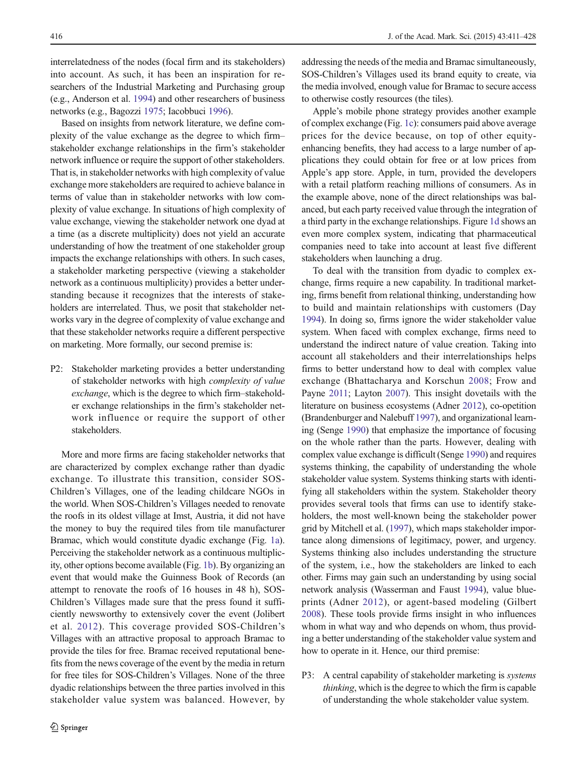interrelatedness of the nodes (focal firm and its stakeholders) into account. As such, it has been an inspiration for researchers of the Industrial Marketing and Purchasing group (e.g., Anderson et al. [1994\)](#page-15-0) and other researchers of business networks (e.g., Bagozzi [1975](#page-15-0); Iacobbuci [1996](#page-16-0)).

Based on insights from network literature, we define complexity of the value exchange as the degree to which firm– stakeholder exchange relationships in the firm's stakeholder network influence or require the support of other stakeholders. That is, in stakeholder networks with high complexity of value exchange more stakeholders are required to achieve balance in terms of value than in stakeholder networks with low complexity of value exchange. In situations of high complexity of value exchange, viewing the stakeholder network one dyad at a time (as a discrete multiplicity) does not yield an accurate understanding of how the treatment of one stakeholder group impacts the exchange relationships with others. In such cases, a stakeholder marketing perspective (viewing a stakeholder network as a continuous multiplicity) provides a better understanding because it recognizes that the interests of stakeholders are interrelated. Thus, we posit that stakeholder networks vary in the degree of complexity of value exchange and that these stakeholder networks require a different perspective on marketing. More formally, our second premise is:

P2: Stakeholder marketing provides a better understanding of stakeholder networks with high complexity of value exchange, which is the degree to which firm–stakeholder exchange relationships in the firm's stakeholder network influence or require the support of other stakeholders.

More and more firms are facing stakeholder networks that are characterized by complex exchange rather than dyadic exchange. To illustrate this transition, consider SOS-Children's Villages, one of the leading childcare NGOs in the world. When SOS-Children's Villages needed to renovate the roofs in its oldest village at Imst, Austria, it did not have the money to buy the required tiles from tile manufacturer Bramac, which would constitute dyadic exchange (Fig. [1a\)](#page-6-0). Perceiving the stakeholder network as a continuous multiplicity, other options become available (Fig. [1b\)](#page-6-0). By organizing an event that would make the Guinness Book of Records (an attempt to renovate the roofs of 16 houses in 48 h), SOS-Children's Villages made sure that the press found it sufficiently newsworthy to extensively cover the event (Jolibert et al. [2012](#page-16-0)). This coverage provided SOS-Children's Villages with an attractive proposal to approach Bramac to provide the tiles for free. Bramac received reputational benefits from the news coverage of the event by the media in return for free tiles for SOS-Children's Villages. None of the three dyadic relationships between the three parties involved in this stakeholder value system was balanced. However, by addressing the needs of the media and Bramac simultaneously, SOS-Children's Villages used its brand equity to create, via the media involved, enough value for Bramac to secure access to otherwise costly resources (the tiles).

Apple's mobile phone strategy provides another example of complex exchange (Fig. [1c](#page-6-0)): consumers paid above average prices for the device because, on top of other equityenhancing benefits, they had access to a large number of applications they could obtain for free or at low prices from Apple's app store. Apple, in turn, provided the developers with a retail platform reaching millions of consumers. As in the example above, none of the direct relationships was balanced, but each party received value through the integration of a third party in the exchange relationships. Figure [1d](#page-6-0) shows an even more complex system, indicating that pharmaceutical companies need to take into account at least five different stakeholders when launching a drug.

To deal with the transition from dyadic to complex exchange, firms require a new capability. In traditional marketing, firms benefit from relational thinking, understanding how to build and maintain relationships with customers (Day [1994\)](#page-15-0). In doing so, firms ignore the wider stakeholder value system. When faced with complex exchange, firms need to understand the indirect nature of value creation. Taking into account all stakeholders and their interrelationships helps firms to better understand how to deal with complex value exchange (Bhattacharya and Korschun [2008;](#page-15-0) Frow and Payne [2011](#page-15-0); Layton [2007](#page-16-0)). This insight dovetails with the literature on business ecosystems (Adner [2012](#page-14-0)), co-opetition (Brandenburger and Nalebuff [1997](#page-15-0)), and organizational learning (Senge [1990](#page-16-0)) that emphasize the importance of focusing on the whole rather than the parts. However, dealing with complex value exchange is difficult (Senge [1990](#page-16-0)) and requires systems thinking, the capability of understanding the whole stakeholder value system. Systems thinking starts with identifying all stakeholders within the system. Stakeholder theory provides several tools that firms can use to identify stakeholders, the most well-known being the stakeholder power grid by Mitchell et al. [\(1997](#page-16-0)), which maps stakeholder importance along dimensions of legitimacy, power, and urgency. Systems thinking also includes understanding the structure of the system, i.e., how the stakeholders are linked to each other. Firms may gain such an understanding by using social network analysis (Wasserman and Faust [1994](#page-17-0)), value blueprints (Adner [2012](#page-14-0)), or agent-based modeling (Gilbert [2008\)](#page-15-0). These tools provide firms insight in who influences whom in what way and who depends on whom, thus providing a better understanding of the stakeholder value system and how to operate in it. Hence, our third premise:

P3: A central capability of stakeholder marketing is systems thinking, which is the degree to which the firm is capable of understanding the whole stakeholder value system.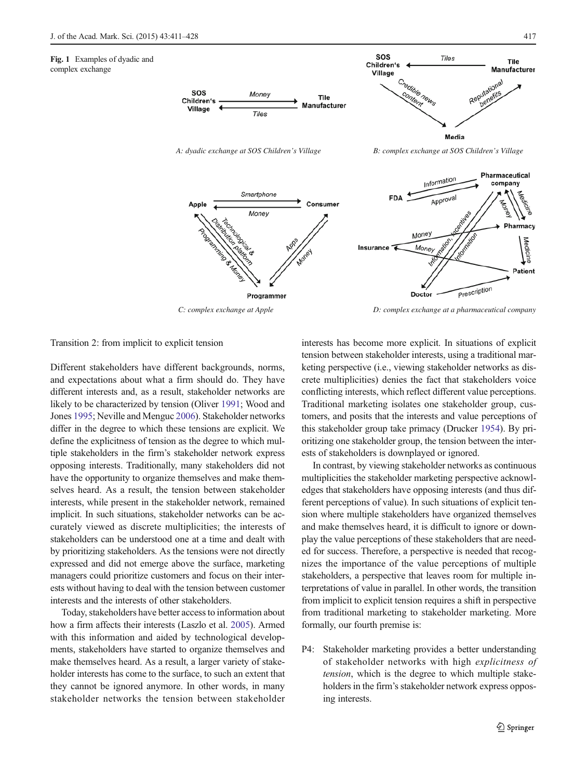

<span id="page-6-0"></span>

*C: complex exchange at Apple D: complex exchange at a pharmaceutical company*

# Transition 2: from implicit to explicit tension

Different stakeholders have different backgrounds, norms, and expectations about what a firm should do. They have different interests and, as a result, stakeholder networks are likely to be characterized by tension (Oliver [1991;](#page-16-0) Wood and Jones [1995](#page-17-0); Neville and Menguc [2006](#page-16-0)). Stakeholder networks differ in the degree to which these tensions are explicit. We define the explicitness of tension as the degree to which multiple stakeholders in the firm's stakeholder network express opposing interests. Traditionally, many stakeholders did not have the opportunity to organize themselves and make themselves heard. As a result, the tension between stakeholder interests, while present in the stakeholder network, remained implicit. In such situations, stakeholder networks can be accurately viewed as discrete multiplicities; the interests of stakeholders can be understood one at a time and dealt with by prioritizing stakeholders. As the tensions were not directly expressed and did not emerge above the surface, marketing managers could prioritize customers and focus on their interests without having to deal with the tension between customer interests and the interests of other stakeholders.

Today, stakeholders have better access to information about how a firm affects their interests (Laszlo et al. [2005\)](#page-16-0). Armed with this information and aided by technological developments, stakeholders have started to organize themselves and make themselves heard. As a result, a larger variety of stakeholder interests has come to the surface, to such an extent that they cannot be ignored anymore. In other words, in many stakeholder networks the tension between stakeholder interests has become more explicit. In situations of explicit tension between stakeholder interests, using a traditional marketing perspective (i.e., viewing stakeholder networks as discrete multiplicities) denies the fact that stakeholders voice conflicting interests, which reflect different value perceptions. Traditional marketing isolates one stakeholder group, customers, and posits that the interests and value perceptions of this stakeholder group take primacy (Drucker [1954](#page-15-0)). By prioritizing one stakeholder group, the tension between the interests of stakeholders is downplayed or ignored.

In contrast, by viewing stakeholder networks as continuous multiplicities the stakeholder marketing perspective acknowledges that stakeholders have opposing interests (and thus different perceptions of value). In such situations of explicit tension where multiple stakeholders have organized themselves and make themselves heard, it is difficult to ignore or downplay the value perceptions of these stakeholders that are needed for success. Therefore, a perspective is needed that recognizes the importance of the value perceptions of multiple stakeholders, a perspective that leaves room for multiple interpretations of value in parallel. In other words, the transition from implicit to explicit tension requires a shift in perspective from traditional marketing to stakeholder marketing. More formally, our fourth premise is:

P4: Stakeholder marketing provides a better understanding of stakeholder networks with high explicitness of tension, which is the degree to which multiple stakeholders in the firm's stakeholder network express opposing interests.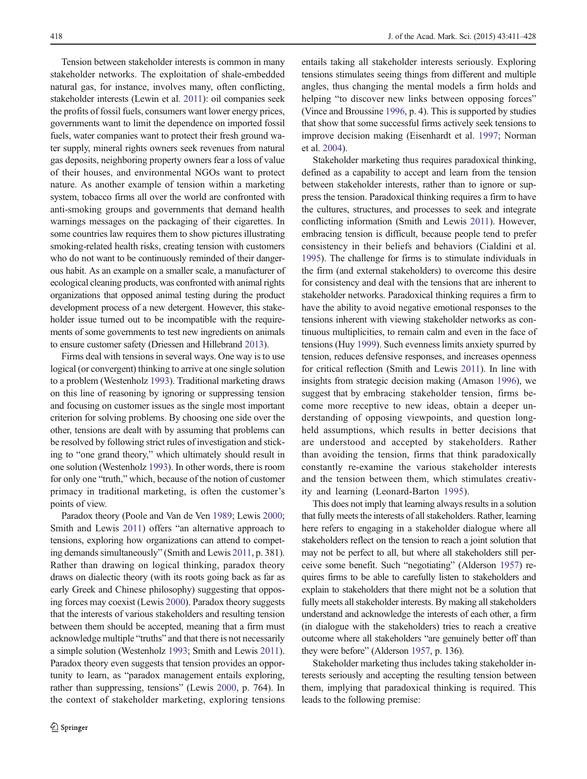Tension between stakeholder interests is common in many stakeholder networks. The exploitation of shale-embedded natural gas, for instance, involves many, often conflicting, stakeholder interests (Lewin et al. [2011\)](#page-16-0): oil companies seek the profits of fossil fuels, consumers want lower energy prices, governments want to limit the dependence on imported fossil fuels, water companies want to protect their fresh ground water supply, mineral rights owners seek revenues from natural gas deposits, neighboring property owners fear a loss of value of their houses, and environmental NGOs want to protect nature. As another example of tension within a marketing system, tobacco firms all over the world are confronted with anti-smoking groups and governments that demand health warnings messages on the packaging of their cigarettes. In some countries law requires them to show pictures illustrating smoking-related health risks, creating tension with customers who do not want to be continuously reminded of their dangerous habit. As an example on a smaller scale, a manufacturer of ecological cleaning products, was confronted with animal rights organizations that opposed animal testing during the product development process of a new detergent. However, this stakeholder issue turned out to be incompatible with the requirements of some governments to test new ingredients on animals to ensure customer safety (Driessen and Hillebrand [2013\)](#page-15-0).

Firms deal with tensions in several ways. One way is to use logical (or convergent) thinking to arrive at one single solution to a problem (Westenholz [1993\)](#page-17-0). Traditional marketing draws on this line of reasoning by ignoring or suppressing tension and focusing on customer issues as the single most important criterion for solving problems. By choosing one side over the other, tensions are dealt with by assuming that problems can be resolved by following strict rules of investigation and sticking to "one grand theory," which ultimately should result in one solution (Westenholz [1993](#page-17-0)). In other words, there is room for only one "truth," which, because of the notion of customer primacy in traditional marketing, is often the customer's points of view.

Paradox theory (Poole and Van de Ven [1989](#page-16-0); Lewis [2000](#page-16-0); Smith and Lewis [2011](#page-16-0)) offers "an alternative approach to tensions, exploring how organizations can attend to competing demands simultaneously" (Smith and Lewis [2011](#page-16-0), p. 381). Rather than drawing on logical thinking, paradox theory draws on dialectic theory (with its roots going back as far as early Greek and Chinese philosophy) suggesting that opposing forces may coexist (Lewis [2000\)](#page-16-0). Paradox theory suggests that the interests of various stakeholders and resulting tension between them should be accepted, meaning that a firm must acknowledge multiple "truths" and that there is not necessarily a simple solution (Westenholz [1993](#page-17-0); Smith and Lewis [2011\)](#page-16-0). Paradox theory even suggests that tension provides an opportunity to learn, as "paradox management entails exploring, rather than suppressing, tensions" (Lewis [2000,](#page-16-0) p. 764). In the context of stakeholder marketing, exploring tensions

entails taking all stakeholder interests seriously. Exploring tensions stimulates seeing things from different and multiple angles, thus changing the mental models a firm holds and helping "to discover new links between opposing forces" (Vince and Broussine [1996,](#page-17-0) p. 4). This is supported by studies that show that some successful firms actively seek tensions to improve decision making (Eisenhardt et al. [1997](#page-15-0); Norman et al. [2004](#page-16-0)).

Stakeholder marketing thus requires paradoxical thinking, defined as a capability to accept and learn from the tension between stakeholder interests, rather than to ignore or suppress the tension. Paradoxical thinking requires a firm to have the cultures, structures, and processes to seek and integrate conflicting information (Smith and Lewis [2011\)](#page-16-0). However, embracing tension is difficult, because people tend to prefer consistency in their beliefs and behaviors (Cialdini et al. [1995\)](#page-15-0). The challenge for firms is to stimulate individuals in the firm (and external stakeholders) to overcome this desire for consistency and deal with the tensions that are inherent to stakeholder networks. Paradoxical thinking requires a firm to have the ability to avoid negative emotional responses to the tensions inherent with viewing stakeholder networks as continuous multiplicities, to remain calm and even in the face of tensions (Huy [1999\)](#page-16-0). Such evenness limits anxiety spurred by tension, reduces defensive responses, and increases openness for critical reflection (Smith and Lewis [2011](#page-16-0)). In line with insights from strategic decision making (Amason [1996\)](#page-15-0), we suggest that by embracing stakeholder tension, firms become more receptive to new ideas, obtain a deeper understanding of opposing viewpoints, and question longheld assumptions, which results in better decisions that are understood and accepted by stakeholders. Rather than avoiding the tension, firms that think paradoxically constantly re-examine the various stakeholder interests and the tension between them, which stimulates creativity and learning (Leonard-Barton [1995\)](#page-16-0).

This does not imply that learning always results in a solution that fully meets the interests of all stakeholders. Rather, learning here refers to engaging in a stakeholder dialogue where all stakeholders reflect on the tension to reach a joint solution that may not be perfect to all, but where all stakeholders still perceive some benefit. Such "negotiating" (Alderson [1957\)](#page-14-0) requires firms to be able to carefully listen to stakeholders and explain to stakeholders that there might not be a solution that fully meets all stakeholder interests. By making all stakeholders understand and acknowledge the interests of each other, a firm (in dialogue with the stakeholders) tries to reach a creative outcome where all stakeholders "are genuinely better off than they were before" (Alderson [1957,](#page-14-0) p. 136).

Stakeholder marketing thus includes taking stakeholder interests seriously and accepting the resulting tension between them, implying that paradoxical thinking is required. This leads to the following premise: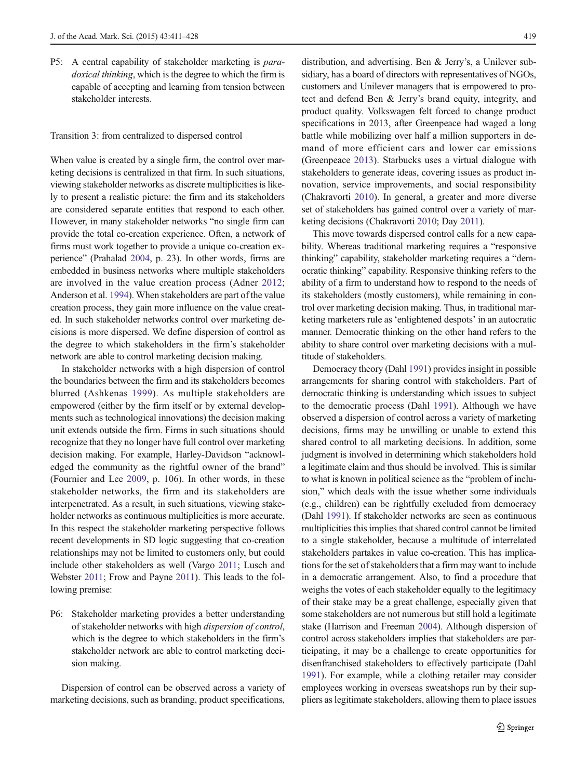P5: A central capability of stakeholder marketing is paradoxical thinking, which is the degree to which the firm is capable of accepting and learning from tension between stakeholder interests.

### Transition 3: from centralized to dispersed control

When value is created by a single firm, the control over marketing decisions is centralized in that firm. In such situations, viewing stakeholder networks as discrete multiplicities is likely to present a realistic picture: the firm and its stakeholders are considered separate entities that respond to each other. However, in many stakeholder networks "no single firm can provide the total co-creation experience. Often, a network of firms must work together to provide a unique co-creation experience" (Prahalad [2004,](#page-16-0) p. 23). In other words, firms are embedded in business networks where multiple stakeholders are involved in the value creation process (Adner [2012](#page-14-0); Anderson et al. [1994\)](#page-15-0). When stakeholders are part of the value creation process, they gain more influence on the value created. In such stakeholder networks control over marketing decisions is more dispersed. We define dispersion of control as the degree to which stakeholders in the firm's stakeholder network are able to control marketing decision making.

In stakeholder networks with a high dispersion of control the boundaries between the firm and its stakeholders becomes blurred (Ashkenas [1999\)](#page-15-0). As multiple stakeholders are empowered (either by the firm itself or by external developments such as technological innovations) the decision making unit extends outside the firm. Firms in such situations should recognize that they no longer have full control over marketing decision making. For example, Harley-Davidson "acknowledged the community as the rightful owner of the brand" (Fournier and Lee [2009,](#page-15-0) p. 106). In other words, in these stakeholder networks, the firm and its stakeholders are interpenetrated. As a result, in such situations, viewing stakeholder networks as continuous multiplicities is more accurate. In this respect the stakeholder marketing perspective follows recent developments in SD logic suggesting that co-creation relationships may not be limited to customers only, but could include other stakeholders as well (Vargo [2011;](#page-17-0) Lusch and Webster [2011;](#page-16-0) Frow and Payne [2011\)](#page-15-0). This leads to the following premise:

P6: Stakeholder marketing provides a better understanding of stakeholder networks with high dispersion of control, which is the degree to which stakeholders in the firm's stakeholder network are able to control marketing decision making.

Dispersion of control can be observed across a variety of marketing decisions, such as branding, product specifications,

distribution, and advertising. Ben & Jerry's, a Unilever subsidiary, has a board of directors with representatives of NGOs, customers and Unilever managers that is empowered to protect and defend Ben & Jerry's brand equity, integrity, and product quality. Volkswagen felt forced to change product specifications in 2013, after Greenpeace had waged a long battle while mobilizing over half a million supporters in demand of more efficient cars and lower car emissions (Greenpeace [2013](#page-15-0)). Starbucks uses a virtual dialogue with stakeholders to generate ideas, covering issues as product innovation, service improvements, and social responsibility (Chakravorti [2010\)](#page-15-0). In general, a greater and more diverse set of stakeholders has gained control over a variety of marketing decisions (Chakravorti [2010](#page-15-0); Day [2011\)](#page-15-0).

This move towards dispersed control calls for a new capability. Whereas traditional marketing requires a "responsive thinking" capability, stakeholder marketing requires a "democratic thinking" capability. Responsive thinking refers to the ability of a firm to understand how to respond to the needs of its stakeholders (mostly customers), while remaining in control over marketing decision making. Thus, in traditional marketing marketers rule as 'enlightened despots' in an autocratic manner. Democratic thinking on the other hand refers to the ability to share control over marketing decisions with a multitude of stakeholders.

Democracy theory (Dahl [1991](#page-15-0)) provides insight in possible arrangements for sharing control with stakeholders. Part of democratic thinking is understanding which issues to subject to the democratic process (Dahl [1991\)](#page-15-0). Although we have observed a dispersion of control across a variety of marketing decisions, firms may be unwilling or unable to extend this shared control to all marketing decisions. In addition, some judgment is involved in determining which stakeholders hold a legitimate claim and thus should be involved. This is similar to what is known in political science as the "problem of inclusion," which deals with the issue whether some individuals (e.g., children) can be rightfully excluded from democracy (Dahl [1991\)](#page-15-0). If stakeholder networks are seen as continuous multiplicities this implies that shared control cannot be limited to a single stakeholder, because a multitude of interrelated stakeholders partakes in value co-creation. This has implications for the set of stakeholders that a firm may want to include in a democratic arrangement. Also, to find a procedure that weighs the votes of each stakeholder equally to the legitimacy of their stake may be a great challenge, especially given that some stakeholders are not numerous but still hold a legitimate stake (Harrison and Freeman [2004\)](#page-15-0). Although dispersion of control across stakeholders implies that stakeholders are participating, it may be a challenge to create opportunities for disenfranchised stakeholders to effectively participate (Dahl [1991\)](#page-15-0). For example, while a clothing retailer may consider employees working in overseas sweatshops run by their suppliers as legitimate stakeholders, allowing them to place issues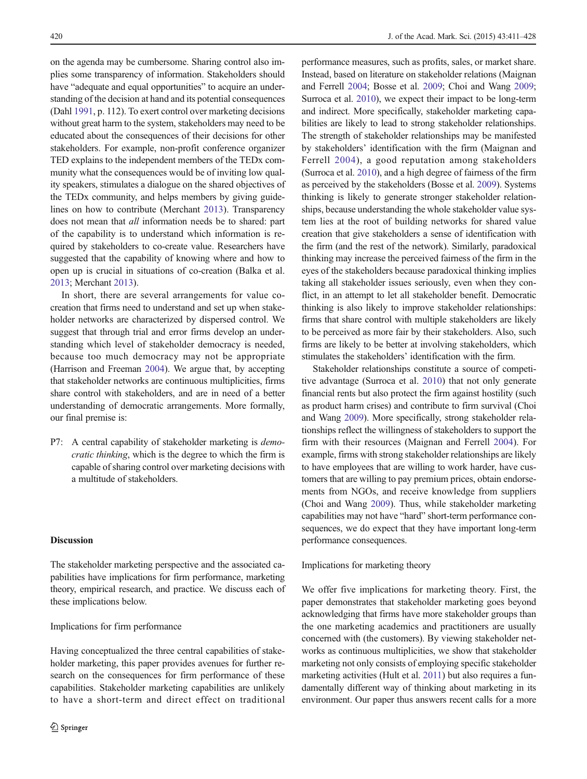on the agenda may be cumbersome. Sharing control also implies some transparency of information. Stakeholders should have "adequate and equal opportunities" to acquire an understanding of the decision at hand and its potential consequences (Dahl [1991,](#page-15-0) p. 112). To exert control over marketing decisions without great harm to the system, stakeholders may need to be educated about the consequences of their decisions for other stakeholders. For example, non-profit conference organizer TED explains to the independent members of the TEDx community what the consequences would be of inviting low quality speakers, stimulates a dialogue on the shared objectives of the TEDx community, and helps members by giving guidelines on how to contribute (Merchant [2013\)](#page-16-0). Transparency does not mean that all information needs be to shared: part of the capability is to understand which information is required by stakeholders to co-create value. Researchers have suggested that the capability of knowing where and how to open up is crucial in situations of co-creation (Balka et al. [2013;](#page-15-0) Merchant [2013](#page-16-0)).

In short, there are several arrangements for value cocreation that firms need to understand and set up when stakeholder networks are characterized by dispersed control. We suggest that through trial and error firms develop an understanding which level of stakeholder democracy is needed, because too much democracy may not be appropriate (Harrison and Freeman [2004\)](#page-15-0). We argue that, by accepting that stakeholder networks are continuous multiplicities, firms share control with stakeholders, and are in need of a better understanding of democratic arrangements. More formally, our final premise is:

P7: A central capability of stakeholder marketing is *demo*cratic thinking, which is the degree to which the firm is capable of sharing control over marketing decisions with a multitude of stakeholders.

### **Discussion**

The stakeholder marketing perspective and the associated capabilities have implications for firm performance, marketing theory, empirical research, and practice. We discuss each of these implications below.

#### Implications for firm performance

Having conceptualized the three central capabilities of stakeholder marketing, this paper provides avenues for further research on the consequences for firm performance of these capabilities. Stakeholder marketing capabilities are unlikely to have a short-term and direct effect on traditional performance measures, such as profits, sales, or market share. Instead, based on literature on stakeholder relations (Maignan and Ferrell [2004;](#page-16-0) Bosse et al. [2009;](#page-15-0) Choi and Wang [2009;](#page-15-0) Surroca et al. [2010](#page-17-0)), we expect their impact to be long-term and indirect. More specifically, stakeholder marketing capabilities are likely to lead to strong stakeholder relationships. The strength of stakeholder relationships may be manifested by stakeholders' identification with the firm (Maignan and Ferrell [2004](#page-16-0)), a good reputation among stakeholders (Surroca et al. [2010](#page-17-0)), and a high degree of fairness of the firm as perceived by the stakeholders (Bosse et al. [2009\)](#page-15-0). Systems thinking is likely to generate stronger stakeholder relationships, because understanding the whole stakeholder value system lies at the root of building networks for shared value creation that give stakeholders a sense of identification with the firm (and the rest of the network). Similarly, paradoxical thinking may increase the perceived fairness of the firm in the eyes of the stakeholders because paradoxical thinking implies taking all stakeholder issues seriously, even when they conflict, in an attempt to let all stakeholder benefit. Democratic thinking is also likely to improve stakeholder relationships: firms that share control with multiple stakeholders are likely to be perceived as more fair by their stakeholders. Also, such firms are likely to be better at involving stakeholders, which stimulates the stakeholders' identification with the firm.

Stakeholder relationships constitute a source of competitive advantage (Surroca et al. [2010\)](#page-17-0) that not only generate financial rents but also protect the firm against hostility (such as product harm crises) and contribute to firm survival (Choi and Wang [2009](#page-15-0)). More specifically, strong stakeholder relationships reflect the willingness of stakeholders to support the firm with their resources (Maignan and Ferrell [2004](#page-16-0)). For example, firms with strong stakeholder relationships are likely to have employees that are willing to work harder, have customers that are willing to pay premium prices, obtain endorsements from NGOs, and receive knowledge from suppliers (Choi and Wang [2009\)](#page-15-0). Thus, while stakeholder marketing capabilities may not have "hard" short-term performance consequences, we do expect that they have important long-term performance consequences.

#### Implications for marketing theory

We offer five implications for marketing theory. First, the paper demonstrates that stakeholder marketing goes beyond acknowledging that firms have more stakeholder groups than the one marketing academics and practitioners are usually concerned with (the customers). By viewing stakeholder networks as continuous multiplicities, we show that stakeholder marketing not only consists of employing specific stakeholder marketing activities (Hult et al. [2011\)](#page-15-0) but also requires a fundamentally different way of thinking about marketing in its environment. Our paper thus answers recent calls for a more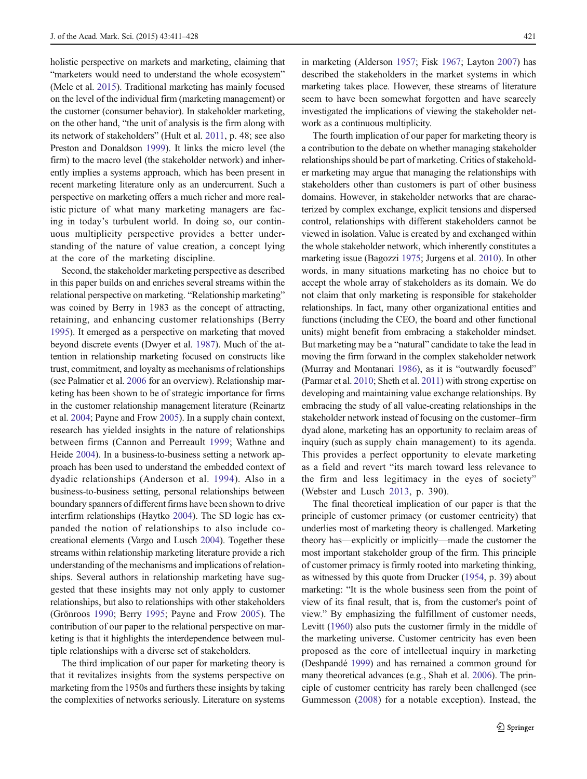holistic perspective on markets and marketing, claiming that "marketers would need to understand the whole ecosystem" (Mele et al. [2015](#page-16-0)). Traditional marketing has mainly focused on the level of the individual firm (marketing management) or the customer (consumer behavior). In stakeholder marketing, on the other hand, "the unit of analysis is the firm along with its network of stakeholders" (Hult et al. [2011,](#page-15-0) p. 48; see also Preston and Donaldson [1999\)](#page-16-0). It links the micro level (the firm) to the macro level (the stakeholder network) and inherently implies a systems approach, which has been present in recent marketing literature only as an undercurrent. Such a perspective on marketing offers a much richer and more realistic picture of what many marketing managers are facing in today's turbulent world. In doing so, our continuous multiplicity perspective provides a better understanding of the nature of value creation, a concept lying at the core of the marketing discipline.

Second, the stakeholder marketing perspective as described in this paper builds on and enriches several streams within the relational perspective on marketing. "Relationship marketing" was coined by Berry in 1983 as the concept of attracting, retaining, and enhancing customer relationships (Berry [1995\)](#page-15-0). It emerged as a perspective on marketing that moved beyond discrete events (Dwyer et al. [1987](#page-15-0)). Much of the attention in relationship marketing focused on constructs like trust, commitment, and loyalty as mechanisms of relationships (see Palmatier et al. [2006](#page-16-0) for an overview). Relationship marketing has been shown to be of strategic importance for firms in the customer relationship management literature (Reinartz et al. [2004;](#page-16-0) Payne and Frow [2005\)](#page-16-0). In a supply chain context, research has yielded insights in the nature of relationships between firms (Cannon and Perreault [1999;](#page-15-0) Wathne and Heide [2004\)](#page-17-0). In a business-to-business setting a network approach has been used to understand the embedded context of dyadic relationships (Anderson et al. [1994\)](#page-15-0). Also in a business-to-business setting, personal relationships between boundary spanners of different firms have been shown to drive interfirm relationships (Haytko [2004](#page-15-0)). The SD logic has expanded the notion of relationships to also include cocreational elements (Vargo and Lusch [2004\)](#page-17-0). Together these streams within relationship marketing literature provide a rich understanding of the mechanisms and implications of relationships. Several authors in relationship marketing have suggested that these insights may not only apply to customer relationships, but also to relationships with other stakeholders (Grönroos [1990](#page-15-0); Berry [1995;](#page-15-0) Payne and Frow [2005](#page-16-0)). The contribution of our paper to the relational perspective on marketing is that it highlights the interdependence between multiple relationships with a diverse set of stakeholders.

The third implication of our paper for marketing theory is that it revitalizes insights from the systems perspective on marketing from the 1950s and furthers these insights by taking the complexities of networks seriously. Literature on systems in marketing (Alderson [1957;](#page-14-0) Fisk [1967;](#page-15-0) Layton [2007\)](#page-16-0) has described the stakeholders in the market systems in which marketing takes place. However, these streams of literature seem to have been somewhat forgotten and have scarcely investigated the implications of viewing the stakeholder network as a continuous multiplicity.

The fourth implication of our paper for marketing theory is a contribution to the debate on whether managing stakeholder relationships should be part of marketing. Critics of stakeholder marketing may argue that managing the relationships with stakeholders other than customers is part of other business domains. However, in stakeholder networks that are characterized by complex exchange, explicit tensions and dispersed control, relationships with different stakeholders cannot be viewed in isolation. Value is created by and exchanged within the whole stakeholder network, which inherently constitutes a marketing issue (Bagozzi [1975](#page-15-0); Jurgens et al. [2010](#page-16-0)). In other words, in many situations marketing has no choice but to accept the whole array of stakeholders as its domain. We do not claim that only marketing is responsible for stakeholder relationships. In fact, many other organizational entities and functions (including the CEO, the board and other functional units) might benefit from embracing a stakeholder mindset. But marketing may be a "natural" candidate to take the lead in moving the firm forward in the complex stakeholder network (Murray and Montanari [1986](#page-16-0)), as it is "outwardly focused" (Parmar et al. [2010;](#page-16-0) Sheth et al. [2011](#page-16-0)) with strong expertise on developing and maintaining value exchange relationships. By embracing the study of all value-creating relationships in the stakeholder network instead of focusing on the customer–firm dyad alone, marketing has an opportunity to reclaim areas of inquiry (such as supply chain management) to its agenda. This provides a perfect opportunity to elevate marketing as a field and revert "its march toward less relevance to the firm and less legitimacy in the eyes of society" (Webster and Lusch [2013](#page-17-0), p. 390).

The final theoretical implication of our paper is that the principle of customer primacy (or customer centricity) that underlies most of marketing theory is challenged. Marketing theory has—explicitly or implicitly—made the customer the most important stakeholder group of the firm. This principle of customer primacy is firmly rooted into marketing thinking, as witnessed by this quote from Drucker ([1954](#page-15-0), p. 39) about marketing: "It is the whole business seen from the point of view of its final result, that is, from the customer's point of view." By emphasizing the fulfillment of customer needs, Levitt [\(1960\)](#page-16-0) also puts the customer firmly in the middle of the marketing universe. Customer centricity has even been proposed as the core of intellectual inquiry in marketing (Deshpandé [1999\)](#page-15-0) and has remained a common ground for many theoretical advances (e.g., Shah et al. [2006](#page-16-0)). The principle of customer centricity has rarely been challenged (see Gummesson [\(2008\)](#page-15-0) for a notable exception). Instead, the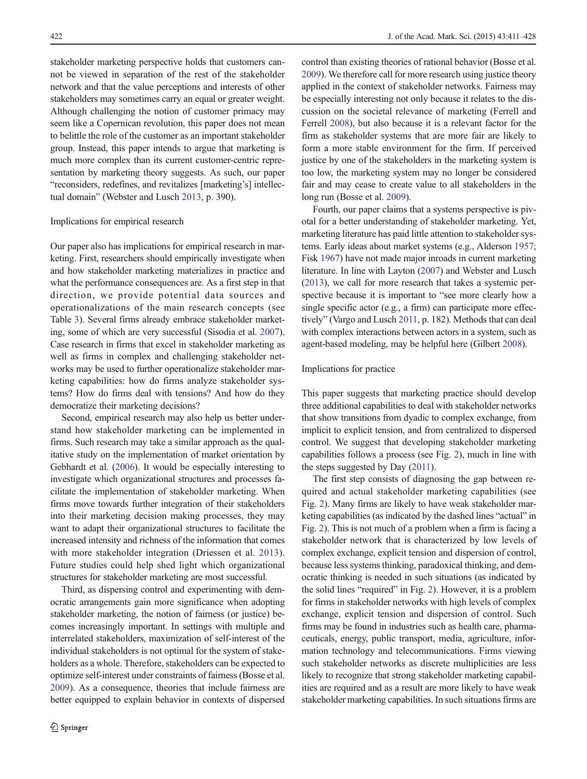stakeholder marketing perspective holds that customers cannot be viewed in separation of the rest of the stakeholder network and that the value perceptions and interests of other stakeholders may sometimes carry an equal or greater weight. Although challenging the notion of customer primacy may seem like a Copernican revolution, this paper does not mean to belittle the role of the customer as an important stakeholder group. Instead, this paper intends to argue that marketing is much more complex than its current customer-centric representation by marketing theory suggests. As such, our paper "reconsiders, redefines, and revitalizes [marketing's] intellectual domain" (Webster and Lusch [2013](#page-17-0), p. 390).

# Implications for empirical research

Our paper also has implications for empirical research in marketing. First, researchers should empirically investigate when and how stakeholder marketing materializes in practice and what the performance consequences are. As a first step in that direction, we provide potential data sources and operationalizations of the main research concepts (see Table [3](#page-12-0)). Several firms already embrace stakeholder marketing, some of which are very successful (Sisodia et al. [2007\)](#page-16-0). Case research in firms that excel in stakeholder marketing as well as firms in complex and challenging stakeholder networks may be used to further operationalize stakeholder marketing capabilities: how do firms analyze stakeholder systems? How do firms deal with tensions? And how do they democratize their marketing decisions?

Second, empirical research may also help us better understand how stakeholder marketing can be implemented in firms. Such research may take a similar approach as the qualitative study on the implementation of market orientation by Gebhardt et al. [\(2006\)](#page-15-0). It would be especially interesting to investigate which organizational structures and processes facilitate the implementation of stakeholder marketing. When firms move towards further integration of their stakeholders into their marketing decision making processes, they may want to adapt their organizational structures to facilitate the increased intensity and richness of the information that comes with more stakeholder integration (Driessen et al. [2013](#page-15-0)). Future studies could help shed light which organizational structures for stakeholder marketing are most successful.

Third, as dispersing control and experimenting with democratic arrangements gain more significance when adopting stakeholder marketing, the notion of fairness (or justice) becomes increasingly important. In settings with multiple and interrelated stakeholders, maximization of self-interest of the individual stakeholders is not optimal for the system of stakeholders as a whole. Therefore, stakeholders can be expected to optimize self-interest under constraints of fairness (Bosse et al. [2009\)](#page-15-0). As a consequence, theories that include fairness are better equipped to explain behavior in contexts of dispersed control than existing theories of rational behavior (Bosse et al. [2009\)](#page-15-0). We therefore call for more research using justice theory applied in the context of stakeholder networks. Fairness may be especially interesting not only because it relates to the discussion on the societal relevance of marketing (Ferrell and Ferrell [2008\)](#page-15-0), but also because it is a relevant factor for the firm as stakeholder systems that are more fair are likely to form a more stable environment for the firm. If perceived justice by one of the stakeholders in the marketing system is too low, the marketing system may no longer be considered fair and may cease to create value to all stakeholders in the long run (Bosse et al. [2009\)](#page-15-0).

Fourth, our paper claims that a systems perspective is pivotal for a better understanding of stakeholder marketing. Yet, marketing literature has paid little attention to stakeholder systems. Early ideas about market systems (e.g., Alderson [1957;](#page-14-0) Fisk [1967\)](#page-15-0) have not made major inroads in current marketing literature. In line with Layton [\(2007\)](#page-16-0) and Webster and Lusch [\(2013\)](#page-17-0), we call for more research that takes a systemic perspective because it is important to "see more clearly how a single specific actor (e.g., a firm) can participate more effectively" (Vargo and Lusch [2011,](#page-17-0) p. 182). Methods that can deal with complex interactions between actors in a system, such as agent-based modeling, may be helpful here (Gilbert [2008\)](#page-15-0).

# Implications for practice

This paper suggests that marketing practice should develop three additional capabilities to deal with stakeholder networks that show transitions from dyadic to complex exchange, from implicit to explicit tension, and from centralized to dispersed control. We suggest that developing stakeholder marketing capabilities follows a process (see Fig. [2\)](#page-13-0), much in line with the steps suggested by Day [\(2011](#page-15-0)).

The first step consists of diagnosing the gap between required and actual stakeholder marketing capabilities (see Fig. [2](#page-13-0)). Many firms are likely to have weak stakeholder marketing capabilities (as indicated by the dashed lines "actual" in Fig. [2\)](#page-13-0). This is not much of a problem when a firm is facing a stakeholder network that is characterized by low levels of complex exchange, explicit tension and dispersion of control, because less systems thinking, paradoxical thinking, and democratic thinking is needed in such situations (as indicated by the solid lines "required" in Fig. [2](#page-13-0)). However, it is a problem for firms in stakeholder networks with high levels of complex exchange, explicit tension and dispersion of control. Such firms may be found in industries such as health care, pharmaceuticals, energy, public transport, media, agriculture, information technology and telecommunications. Firms viewing such stakeholder networks as discrete multiplicities are less likely to recognize that strong stakeholder marketing capabilities are required and as a result are more likely to have weak stakeholder marketing capabilities. In such situations firms are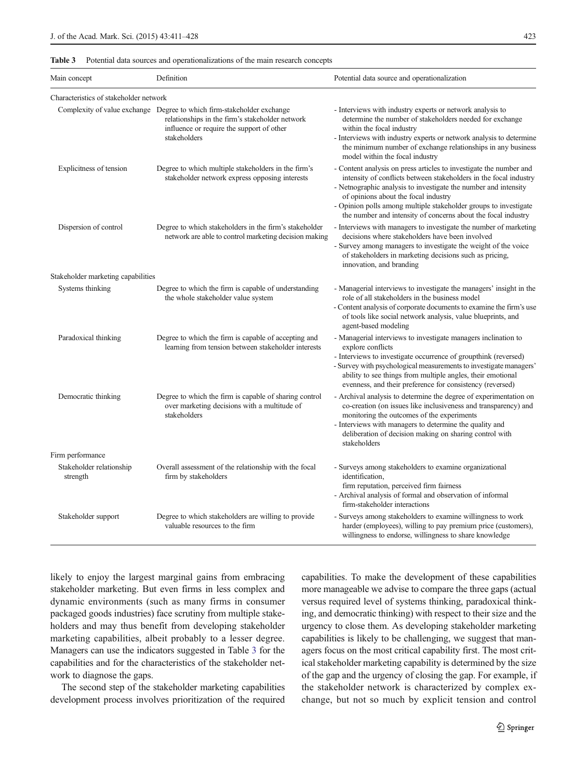<span id="page-12-0"></span>

| Main concept                           | Definition                                                                                                                                                                             | Potential data source and operationalization                                                                                                                                                                                                                                                                                                                                            |  |
|----------------------------------------|----------------------------------------------------------------------------------------------------------------------------------------------------------------------------------------|-----------------------------------------------------------------------------------------------------------------------------------------------------------------------------------------------------------------------------------------------------------------------------------------------------------------------------------------------------------------------------------------|--|
| Characteristics of stakeholder network |                                                                                                                                                                                        |                                                                                                                                                                                                                                                                                                                                                                                         |  |
|                                        | Complexity of value exchange Degree to which firm-stakeholder exchange<br>relationships in the firm's stakeholder network<br>influence or require the support of other<br>stakeholders | - Interviews with industry experts or network analysis to<br>determine the number of stakeholders needed for exchange<br>within the focal industry<br>- Interviews with industry experts or network analysis to determine<br>the minimum number of exchange relationships in any business<br>model within the focal industry                                                            |  |
| Explicitness of tension                | Degree to which multiple stakeholders in the firm's<br>stakeholder network express opposing interests                                                                                  | - Content analysis on press articles to investigate the number and<br>intensity of conflicts between stakeholders in the focal industry<br>- Netnographic analysis to investigate the number and intensity<br>of opinions about the focal industry<br>- Opinion polls among multiple stakeholder groups to investigate<br>the number and intensity of concerns about the focal industry |  |
| Dispersion of control                  | Degree to which stakeholders in the firm's stakeholder<br>network are able to control marketing decision making                                                                        | - Interviews with managers to investigate the number of marketing<br>decisions where stakeholders have been involved<br>- Survey among managers to investigate the weight of the voice<br>of stakeholders in marketing decisions such as pricing,<br>innovation, and branding                                                                                                           |  |
| Stakeholder marketing capabilities     |                                                                                                                                                                                        |                                                                                                                                                                                                                                                                                                                                                                                         |  |
| Systems thinking                       | Degree to which the firm is capable of understanding<br>the whole stakeholder value system                                                                                             | - Managerial interviews to investigate the managers' insight in the<br>role of all stakeholders in the business model<br>- Content analysis of corporate documents to examine the firm's use<br>of tools like social network analysis, value blueprints, and<br>agent-based modeling                                                                                                    |  |
| Paradoxical thinking                   | Degree to which the firm is capable of accepting and<br>learning from tension between stakeholder interests                                                                            | - Managerial interviews to investigate managers inclination to<br>explore conflicts<br>- Interviews to investigate occurrence of groupthink (reversed)<br>- Survey with psychological measurements to investigate managers'<br>ability to see things from multiple angles, their emotional<br>evenness, and their preference for consistency (reversed)                                 |  |
| Democratic thinking                    | Degree to which the firm is capable of sharing control<br>over marketing decisions with a multitude of<br>stakeholders                                                                 | - Archival analysis to determine the degree of experimentation on<br>co-creation (on issues like inclusiveness and transparency) and<br>monitoring the outcomes of the experiments<br>- Interviews with managers to determine the quality and<br>deliberation of decision making on sharing control with<br>stakeholders                                                                |  |
| Firm performance                       |                                                                                                                                                                                        |                                                                                                                                                                                                                                                                                                                                                                                         |  |
| Stakeholder relationship<br>strength   | Overall assessment of the relationship with the focal<br>firm by stakeholders                                                                                                          | - Surveys among stakeholders to examine organizational<br>identification,<br>firm reputation, perceived firm fairness<br>- Archival analysis of formal and observation of informal<br>firm-stakeholder interactions                                                                                                                                                                     |  |
| Stakeholder support                    | Degree to which stakeholders are willing to provide<br>valuable resources to the firm                                                                                                  | - Surveys among stakeholders to examine willingness to work<br>harder (employees), willing to pay premium price (customers),<br>willingness to endorse, willingness to share knowledge                                                                                                                                                                                                  |  |

likely to enjoy the largest marginal gains from embracing stakeholder marketing. But even firms in less complex and dynamic environments (such as many firms in consumer packaged goods industries) face scrutiny from multiple stakeholders and may thus benefit from developing stakeholder marketing capabilities, albeit probably to a lesser degree. Managers can use the indicators suggested in Table 3 for the capabilities and for the characteristics of the stakeholder network to diagnose the gaps.

The second step of the stakeholder marketing capabilities development process involves prioritization of the required capabilities. To make the development of these capabilities more manageable we advise to compare the three gaps (actual versus required level of systems thinking, paradoxical thinking, and democratic thinking) with respect to their size and the urgency to close them. As developing stakeholder marketing capabilities is likely to be challenging, we suggest that managers focus on the most critical capability first. The most critical stakeholder marketing capability is determined by the size of the gap and the urgency of closing the gap. For example, if the stakeholder network is characterized by complex exchange, but not so much by explicit tension and control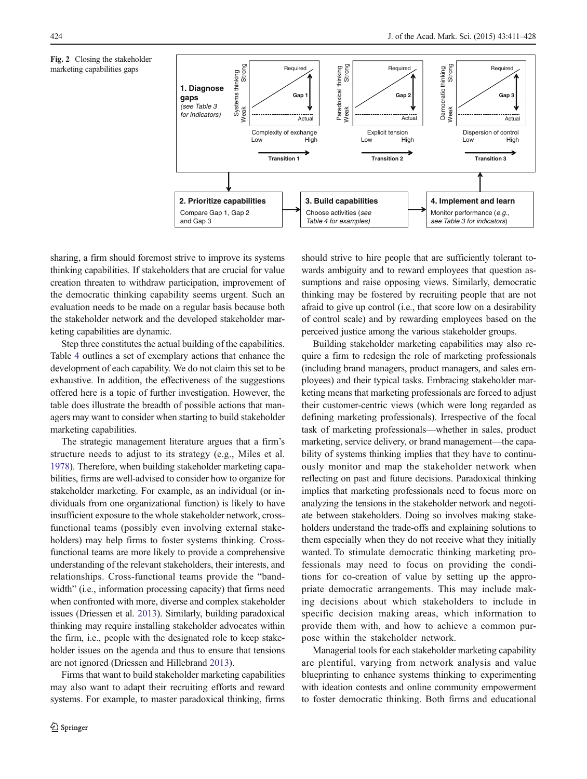Fig. 2 Closing the stakeholder marketing capabilities gaps

<span id="page-13-0"></span>



sharing, a firm should foremost strive to improve its systems thinking capabilities. If stakeholders that are crucial for value creation threaten to withdraw participation, improvement of the democratic thinking capability seems urgent. Such an evaluation needs to be made on a regular basis because both the stakeholder network and the developed stakeholder marketing capabilities are dynamic.

Step three constitutes the actual building of the capabilities. Table [4](#page-14-0) outlines a set of exemplary actions that enhance the development of each capability. We do not claim this set to be exhaustive. In addition, the effectiveness of the suggestions offered here is a topic of further investigation. However, the table does illustrate the breadth of possible actions that managers may want to consider when starting to build stakeholder marketing capabilities.

The strategic management literature argues that a firm's structure needs to adjust to its strategy (e.g., Miles et al. [1978\)](#page-16-0). Therefore, when building stakeholder marketing capabilities, firms are well-advised to consider how to organize for stakeholder marketing. For example, as an individual (or individuals from one organizational function) is likely to have insufficient exposure to the whole stakeholder network, crossfunctional teams (possibly even involving external stakeholders) may help firms to foster systems thinking. Crossfunctional teams are more likely to provide a comprehensive understanding of the relevant stakeholders, their interests, and relationships. Cross-functional teams provide the "bandwidth" (i.e., information processing capacity) that firms need when confronted with more, diverse and complex stakeholder issues (Driessen et al. [2013](#page-15-0)). Similarly, building paradoxical thinking may require installing stakeholder advocates within the firm, i.e., people with the designated role to keep stakeholder issues on the agenda and thus to ensure that tensions are not ignored (Driessen and Hillebrand [2013](#page-15-0)).

Firms that want to build stakeholder marketing capabilities may also want to adapt their recruiting efforts and reward systems. For example, to master paradoxical thinking, firms should strive to hire people that are sufficiently tolerant towards ambiguity and to reward employees that question assumptions and raise opposing views. Similarly, democratic thinking may be fostered by recruiting people that are not afraid to give up control (i.e., that score low on a desirability of control scale) and by rewarding employees based on the perceived justice among the various stakeholder groups.

Building stakeholder marketing capabilities may also require a firm to redesign the role of marketing professionals (including brand managers, product managers, and sales employees) and their typical tasks. Embracing stakeholder marketing means that marketing professionals are forced to adjust their customer-centric views (which were long regarded as defining marketing professionals). Irrespective of the focal task of marketing professionals—whether in sales, product marketing, service delivery, or brand management—the capability of systems thinking implies that they have to continuously monitor and map the stakeholder network when reflecting on past and future decisions. Paradoxical thinking implies that marketing professionals need to focus more on analyzing the tensions in the stakeholder network and negotiate between stakeholders. Doing so involves making stakeholders understand the trade-offs and explaining solutions to them especially when they do not receive what they initially wanted. To stimulate democratic thinking marketing professionals may need to focus on providing the conditions for co-creation of value by setting up the appropriate democratic arrangements. This may include making decisions about which stakeholders to include in specific decision making areas, which information to provide them with, and how to achieve a common purpose within the stakeholder network.

Managerial tools for each stakeholder marketing capability are plentiful, varying from network analysis and value blueprinting to enhance systems thinking to experimenting with ideation contests and online community empowerment to foster democratic thinking. Both firms and educational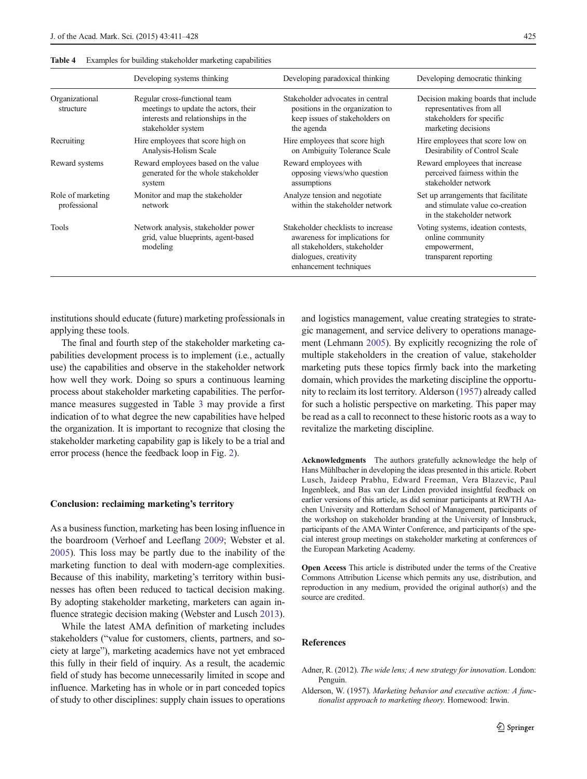|                                   | Developing systems thinking                                                                                                       | Developing paradoxical thinking                                                                                                                          | Developing democratic thinking                                                                                      |
|-----------------------------------|-----------------------------------------------------------------------------------------------------------------------------------|----------------------------------------------------------------------------------------------------------------------------------------------------------|---------------------------------------------------------------------------------------------------------------------|
| Organizational<br>structure       | Regular cross-functional team<br>meetings to update the actors, their<br>interests and relationships in the<br>stakeholder system | Stakeholder advocates in central<br>positions in the organization to<br>keep issues of stakeholders on<br>the agenda                                     | Decision making boards that include<br>representatives from all<br>stakeholders for specific<br>marketing decisions |
| Recruiting                        | Hire employees that score high on<br>Analysis-Holism Scale                                                                        | Hire employees that score high<br>on Ambiguity Tolerance Scale                                                                                           | Hire employees that score low on<br>Desirability of Control Scale                                                   |
| Reward systems                    | Reward employees based on the value<br>generated for the whole stakeholder<br>system                                              | Reward employees with<br>opposing views/who question<br>assumptions                                                                                      | Reward employees that increase<br>perceived fairness within the<br>stakeholder network                              |
| Role of marketing<br>professional | Monitor and map the stakeholder<br>network                                                                                        | Analyze tension and negotiate<br>within the stakeholder network                                                                                          | Set up arrangements that facilitate<br>and stimulate value co-creation<br>in the stakeholder network                |
| Tools                             | Network analysis, stakeholder power<br>grid, value blueprints, agent-based<br>modeling                                            | Stakeholder checklists to increase<br>awareness for implications for<br>all stakeholders, stakeholder<br>dialogues, creativity<br>enhancement techniques | Voting systems, ideation contests,<br>online community<br>empowerment,<br>transparent reporting                     |

<span id="page-14-0"></span>Table 4 Examples for building stakeholder marketing capabilities

institutions should educate (future) marketing professionals in applying these tools.

The final and fourth step of the stakeholder marketing capabilities development process is to implement (i.e., actually use) the capabilities and observe in the stakeholder network how well they work. Doing so spurs a continuous learning process about stakeholder marketing capabilities. The performance measures suggested in Table [3](#page-12-0) may provide a first indication of to what degree the new capabilities have helped the organization. It is important to recognize that closing the stakeholder marketing capability gap is likely to be a trial and error process (hence the feedback loop in Fig. [2](#page-13-0)).

#### Conclusion: reclaiming marketing's territory

As a business function, marketing has been losing influence in the boardroom (Verhoef and Leeflang [2009](#page-17-0); Webster et al. [2005](#page-17-0)). This loss may be partly due to the inability of the marketing function to deal with modern-age complexities. Because of this inability, marketing's territory within businesses has often been reduced to tactical decision making. By adopting stakeholder marketing, marketers can again influence strategic decision making (Webster and Lusch [2013\)](#page-17-0).

While the latest AMA definition of marketing includes stakeholders ("value for customers, clients, partners, and society at large"), marketing academics have not yet embraced this fully in their field of inquiry. As a result, the academic field of study has become unnecessarily limited in scope and influence. Marketing has in whole or in part conceded topics of study to other disciplines: supply chain issues to operations and logistics management, value creating strategies to strategic management, and service delivery to operations management (Lehmann [2005](#page-16-0)). By explicitly recognizing the role of multiple stakeholders in the creation of value, stakeholder marketing puts these topics firmly back into the marketing domain, which provides the marketing discipline the opportunity to reclaim its lost territory. Alderson (1957) already called for such a holistic perspective on marketing. This paper may be read as a call to reconnect to these historic roots as a way to revitalize the marketing discipline.

Acknowledgments The authors gratefully acknowledge the help of Hans Mühlbacher in developing the ideas presented in this article. Robert Lusch, Jaideep Prabhu, Edward Freeman, Vera Blazevic, Paul Ingenbleek, and Bas van der Linden provided insightful feedback on earlier versions of this article, as did seminar participants at RWTH Aachen University and Rotterdam School of Management, participants of the workshop on stakeholder branding at the University of Innsbruck, participants of the AMA Winter Conference, and participants of the special interest group meetings on stakeholder marketing at conferences of the European Marketing Academy.

Open Access This article is distributed under the terms of the Creative Commons Attribution License which permits any use, distribution, and reproduction in any medium, provided the original author(s) and the source are credited.

### References

Alderson, W. (1957). Marketing behavior and executive action: A functionalist approach to marketing theory. Homewood: Irwin.

Adner, R. (2012). The wide lens; A new strategy for innovation. London: Penguin.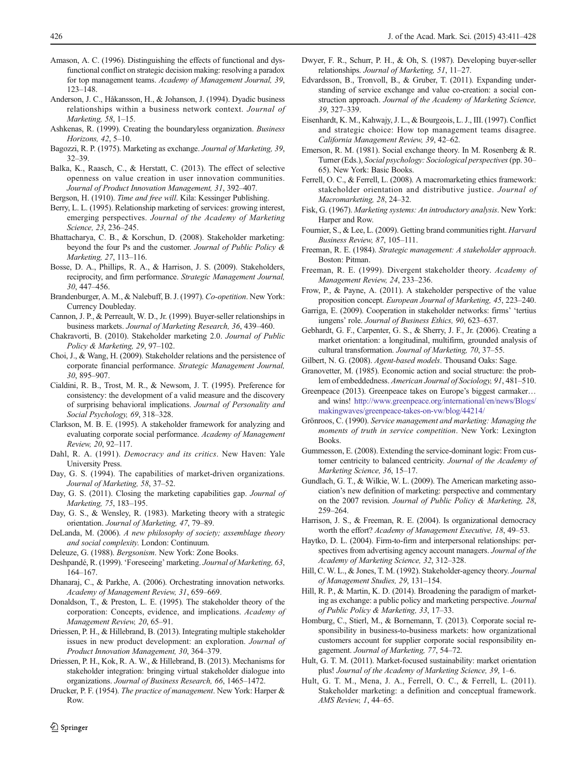- <span id="page-15-0"></span>Amason, A. C. (1996). Distinguishing the effects of functional and dysfunctional conflict on strategic decision making: resolving a paradox for top management teams. Academy of Management Journal, 39, 123–148.
- Anderson, J. C., Håkansson, H., & Johanson, J. (1994). Dyadic business relationships within a business network context. Journal of Marketing, 58, 1–15.
- Ashkenas, R. (1999). Creating the boundaryless organization. Business Horizons, 42, 5–10.
- Bagozzi, R. P. (1975). Marketing as exchange. Journal of Marketing, 39, 32–39.
- Balka, K., Raasch, C., & Herstatt, C. (2013). The effect of selective openness on value creation in user innovation communities. Journal of Product Innovation Management, 31, 392–407.

Bergson, H. (1910). Time and free will. Kila: Kessinger Publishing.

- Berry, L. L. (1995). Relationship marketing of services: growing interest, emerging perspectives. Journal of the Academy of Marketing Science, 23, 236–245.
- Bhattacharya, C. B., & Korschun, D. (2008). Stakeholder marketing: beyond the four Ps and the customer. Journal of Public Policy & Marketing, 27, 113–116.
- Bosse, D. A., Phillips, R. A., & Harrison, J. S. (2009). Stakeholders, reciprocity, and firm performance. Strategic Management Journal, 30, 447–456.
- Brandenburger, A. M., & Nalebuff, B. J. (1997). Co-opetition. New York: Currency Doubleday.
- Cannon, J. P., & Perreault, W. D., Jr. (1999). Buyer-seller relationships in business markets. Journal of Marketing Research, 36, 439–460.
- Chakravorti, B. (2010). Stakeholder marketing 2.0. Journal of Public Policy & Marketing, 29, 97–102.
- Choi, J., & Wang, H. (2009). Stakeholder relations and the persistence of corporate financial performance. Strategic Management Journal, 30, 895–907.
- Cialdini, R. B., Trost, M. R., & Newsom, J. T. (1995). Preference for consistency: the development of a valid measure and the discovery of surprising behavioral implications. Journal of Personality and Social Psychology, 69, 318–328.
- Clarkson, M. B. E. (1995). A stakeholder framework for analyzing and evaluating corporate social performance. Academy of Management Review, 20, 92–117.
- Dahl, R. A. (1991). *Democracy and its critics*. New Haven: Yale University Press.
- Day, G. S. (1994). The capabilities of market-driven organizations. Journal of Marketing, 58, 37–52.
- Day, G. S. (2011). Closing the marketing capabilities gap. Journal of Marketing, 75, 183–195.
- Day, G. S., & Wensley, R. (1983). Marketing theory with a strategic orientation. Journal of Marketing, 47, 79–89.
- DeLanda, M. (2006). A new philosophy of society; assemblage theory and social complexity. London: Continuum.
- Deleuze, G. (1988). Bergsonism. New York: Zone Books.
- Deshpandé, R. (1999). 'Foreseeing' marketing. Journal of Marketing, 63, 164–167.
- Dhanaraj, C., & Parkhe, A. (2006). Orchestrating innovation networks. Academy of Management Review, 31, 659–669.
- Donaldson, T., & Preston, L. E. (1995). The stakeholder theory of the corporation: Concepts, evidence, and implications. Academy of Management Review, 20, 65–91.
- Driessen, P. H., & Hillebrand, B. (2013). Integrating multiple stakeholder issues in new product development: an exploration. Journal of Product Innovation Management, 30, 364–379.
- Driessen, P. H., Kok, R. A. W., & Hillebrand, B. (2013). Mechanisms for stakeholder integration: bringing virtual stakeholder dialogue into organizations. Journal of Business Research, 66, 1465–1472.
- Drucker, P. F. (1954). The practice of management. New York: Harper & Row.
- Dwyer, F. R., Schurr, P. H., & Oh, S. (1987). Developing buyer-seller relationships. Journal of Marketing, 51, 11–27.
- Edvardsson, B., Tronvoll, B., & Gruber, T. (2011). Expanding understanding of service exchange and value co-creation: a social construction approach. Journal of the Academy of Marketing Science, 39, 327–339.
- Eisenhardt, K. M., Kahwajy, J. L., & Bourgeois, L. J., III. (1997). Conflict and strategic choice: How top management teams disagree. California Management Review, 39, 42–62.
- Emerson, R. M. (1981). Social exchange theory. In M. Rosenberg & R. Turner (Eds.), Social psychology: Sociological perspectives(pp. 30– 65). New York: Basic Books.
- Ferrell, O. C., & Ferrell, L. (2008). A macromarketing ethics framework: stakeholder orientation and distributive justice. Journal of Macromarketing, 28, 24–32.
- Fisk, G. (1967). Marketing systems: An introductory analysis. New York: Harper and Row.
- Fournier, S., & Lee, L. (2009). Getting brand communities right. Harvard Business Review, 87, 105–111.
- Freeman, R. E. (1984). Strategic management: A stakeholder approach. Boston: Pitman.
- Freeman, R. E. (1999). Divergent stakeholder theory. Academy of Management Review, 24, 233–236.
- Frow, P., & Payne, A. (2011). A stakeholder perspective of the value proposition concept. European Journal of Marketing, 45, 223–240.
- Garriga, E. (2009). Cooperation in stakeholder networks: firms' 'tertius iungens' role. Journal of Business Ethics, 90, 623–637.
- Gebhardt, G. F., Carpenter, G. S., & Sherry, J. F., Jr. (2006). Creating a market orientation: a longitudinal, multifirm, grounded analysis of cultural transformation. Journal of Marketing, 70, 37–55.
- Gilbert, N. G. (2008). Agent-based models. Thousand Oaks: Sage.
- Granovetter, M. (1985). Economic action and social structure: the problem of embeddedness. American Journal of Sociology, 91, 481–510.
- Greenpeace (2013). Greenpeace takes on Europe's biggest carmaker… and wins! [http://www.greenpeace.org/international/en/news/Blogs/](http://www.greenpeace.org/international/en/news/Blogs/makingwaves/greenpeace-takes-on-vw/blog/44214/) [makingwaves/greenpeace-takes-on-vw/blog/44214/](http://www.greenpeace.org/international/en/news/Blogs/makingwaves/greenpeace-takes-on-vw/blog/44214/)
- Grönroos, C. (1990). Service management and marketing: Managing the moments of truth in service competition. New York: Lexington Books.
- Gummesson, E. (2008). Extending the service-dominant logic: From customer centricity to balanced centricity. Journal of the Academy of Marketing Science, 36, 15–17.
- Gundlach, G. T., & Wilkie, W. L. (2009). The American marketing association's new definition of marketing: perspective and commentary on the 2007 revision. Journal of Public Policy & Marketing, 28, 259–264.
- Harrison, J. S., & Freeman, R. E. (2004). Is organizational democracy worth the effort? Academy of Management Executive, 18, 49–53.
- Haytko, D. L. (2004). Firm-to-firm and interpersonal relationships: perspectives from advertising agency account managers. Journal of the Academy of Marketing Science, 32, 312–328.
- Hill, C. W. L., & Jones, T. M. (1992). Stakeholder-agency theory. Journal of Management Studies, 29, 131–154.
- Hill, R. P., & Martin, K. D. (2014). Broadening the paradigm of marketing as exchange: a public policy and marketing perspective. Journal of Public Policy & Marketing, 33, 17–33.
- Homburg, C., Stierl, M., & Bornemann, T. (2013). Corporate social responsibility in business-to-business markets: how organizational customers account for supplier corporate social responsibility engagement. Journal of Marketing, 77, 54–72.
- Hult, G. T. M. (2011). Market-focused sustainability: market orientation plus! Journal of the Academy of Marketing Science, 39, 1–6.
- Hult, G. T. M., Mena, J. A., Ferrell, O. C., & Ferrell, L. (2011). Stakeholder marketing: a definition and conceptual framework. AMS Review, 1, 44–65.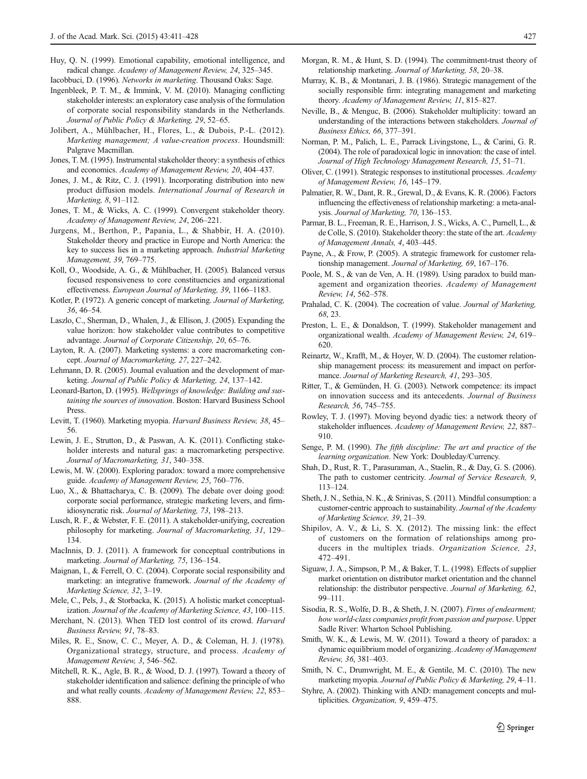- <span id="page-16-0"></span>Huy, Q. N. (1999). Emotional capability, emotional intelligence, and radical change. Academy of Management Review, 24, 325–345.
- Iacobbuci, D. (1996). Networks in marketing. Thousand Oaks: Sage.
- Ingenbleek, P. T. M., & Immink, V. M. (2010). Managing conflicting stakeholder interests: an exploratory case analysis of the formulation of corporate social responsibility standards in the Netherlands. Journal of Public Policy & Marketing, 29, 52–65.
- Jolibert, A., Mühlbacher, H., Flores, L., & Dubois, P.-L. (2012). Marketing management; A value-creation process. Houndsmill: Palgrave Macmillan.
- Jones, T. M. (1995). Instrumental stakeholder theory: a synthesis of ethics and economics. Academy of Management Review, 20, 404–437.
- Jones, J. M., & Ritz, C. J. (1991). Incorporating distribution into new product diffusion models. International Journal of Research in Marketing, 8, 91–112.
- Jones, T. M., & Wicks, A. C. (1999). Convergent stakeholder theory. Academy of Management Review, 24, 206–221.
- Jurgens, M., Berthon, P., Papania, L., & Shabbir, H. A. (2010). Stakeholder theory and practice in Europe and North America: the key to success lies in a marketing approach. Industrial Marketing Management, 39, 769–775.
- Koll, O., Woodside, A. G., & Mühlbacher, H. (2005). Balanced versus focused responsiveness to core constituencies and organizational effectiveness. European Journal of Marketing, 39, 1166–1183.
- Kotler, P. (1972). A generic concept of marketing. Journal of Marketing, 36, 46–54.
- Laszlo, C., Sherman, D., Whalen, J., & Ellison, J. (2005). Expanding the value horizon: how stakeholder value contributes to competitive advantage. Journal of Corporate Citizenship, 20, 65–76.
- Layton, R. A. (2007). Marketing systems: a core macromarketing concept. Journal of Macromarketing, 27, 227–242.
- Lehmann, D. R. (2005). Journal evaluation and the development of marketing. Journal of Public Policy & Marketing, 24, 137–142.
- Leonard-Barton, D. (1995). Wellsprings of knowledge: Building and sustaining the sources of innovation. Boston: Harvard Business School Press.
- Levitt, T. (1960). Marketing myopia. Harvard Business Review, 38, 45– 56.
- Lewin, J. E., Strutton, D., & Paswan, A. K. (2011). Conflicting stakeholder interests and natural gas: a macromarketing perspective. Journal of Macromarketing, 31, 340–358.
- Lewis, M. W. (2000). Exploring paradox: toward a more comprehensive guide. Academy of Management Review, 25, 760–776.
- Luo, X., & Bhattacharya, C. B. (2009). The debate over doing good: corporate social performance, strategic marketing levers, and firmidiosyncratic risk. Journal of Marketing, 73, 198–213.
- Lusch, R. F., & Webster, F. E. (2011). A stakeholder-unifying, cocreation philosophy for marketing. Journal of Macromarketing, 31, 129– 134.
- MacInnis, D. J. (2011). A framework for conceptual contributions in marketing. Journal of Marketing, 75, 136–154.
- Maignan, I., & Ferrell, O. C. (2004). Corporate social responsibility and marketing: an integrative framework. Journal of the Academy of Marketing Science, 32, 3–19.
- Mele, C., Pels, J., & Storbacka, K. (2015). A holistic market conceptualization. Journal of the Academy of Marketing Science, 43, 100–115.
- Merchant, N. (2013). When TED lost control of its crowd. Harvard Business Review, 91, 78–83.
- Miles, R. E., Snow, C. C., Meyer, A. D., & Coleman, H. J. (1978). Organizational strategy, structure, and process. Academy of Management Review, 3, 546–562.
- Mitchell, R. K., Agle, B. R., & Wood, D. J. (1997). Toward a theory of stakeholder identification and salience: defining the principle of who and what really counts. Academy of Management Review, 22, 853– 888.
- Morgan, R. M., & Hunt, S. D. (1994). The commitment-trust theory of relationship marketing. Journal of Marketing, 58, 20–38.
- Murray, K. B., & Montanari, J. B. (1986). Strategic management of the socially responsible firm: integrating management and marketing theory. Academy of Management Review, 11, 815-827.
- Neville, B., & Menguc, B. (2006). Stakeholder multiplicity: toward an understanding of the interactions between stakeholders. Journal of Business Ethics, 66, 377–391.
- Norman, P. M., Palich, L. E., Parrack Livingstone, L., & Carini, G. R. (2004). The role of paradoxical logic in innovation: the case of intel. Journal of High Technology Management Research, 15, 51–71.
- Oliver, C. (1991). Strategic responses to institutional processes. Academy of Management Review, 16, 145–179.
- Palmatier, R. W., Dant, R. R., Grewal, D., & Evans, K. R. (2006). Factors influencing the effectiveness of relationship marketing: a meta-analysis. Journal of Marketing, 70, 136–153.
- Parmar, B. L., Freeman, R. E., Harrison, J. S., Wicks, A. C., Purnell, L., & de Colle, S. (2010). Stakeholder theory: the state of the art. Academy of Management Annals, 4, 403–445.
- Payne, A., & Frow, P. (2005). A strategic framework for customer relationship management. Journal of Marketing, 69, 167–176.
- Poole, M. S., & van de Ven, A. H. (1989). Using paradox to build management and organization theories. Academy of Management Review, 14, 562–578.
- Prahalad, C. K. (2004). The cocreation of value. Journal of Marketing, 68, 23.
- Preston, L. E., & Donaldson, T. (1999). Stakeholder management and organizational wealth. Academy of Management Review, 24, 619– 620.
- Reinartz, W., Krafft, M., & Hoyer, W. D. (2004). The customer relationship management process: its measurement and impact on performance. Journal of Marketing Research, 41, 293–305.
- Ritter, T., & Gemünden, H. G. (2003). Network competence: its impact on innovation success and its antecedents. Journal of Business Research, 56, 745–755.
- Rowley, T. J. (1997). Moving beyond dyadic ties: a network theory of stakeholder influences. Academy of Management Review, 22, 887– 910.
- Senge, P. M. (1990). The fifth discipline: The art and practice of the learning organization. New York: Doubleday/Currency.
- Shah, D., Rust, R. T., Parasuraman, A., Staelin, R., & Day, G. S. (2006). The path to customer centricity. Journal of Service Research, 9, 113–124.
- Sheth, J. N., Sethia, N. K., & Srinivas, S. (2011). Mindful consumption: a customer-centric approach to sustainability. Journal of the Academy of Marketing Science, 39, 21–39.
- Shipilov, A. V., & Li, S. X. (2012). The missing link: the effect of customers on the formation of relationships among producers in the multiplex triads. Organization Science, 23, 472–491.
- Siguaw, J. A., Simpson, P. M., & Baker, T. L. (1998). Effects of supplier market orientation on distributor market orientation and the channel relationship: the distributor perspective. Journal of Marketing, 62, 99–111.
- Sisodia, R. S., Wolfe, D. B., & Sheth, J. N. (2007). Firms of endearment; how world-class companies profit from passion and purpose. Upper Sadle River: Wharton School Publishing.
- Smith, W. K., & Lewis, M. W. (2011). Toward a theory of paradox: a dynamic equilibrium model of organizing. Academy of Management Review, 36, 381–403.
- Smith, N. C., Drumwright, M. E., & Gentile, M. C. (2010). The new marketing myopia. Journal of Public Policy & Marketing, 29, 4–11.
- Styhre, A. (2002). Thinking with AND: management concepts and multiplicities. Organization, 9, 459–475.